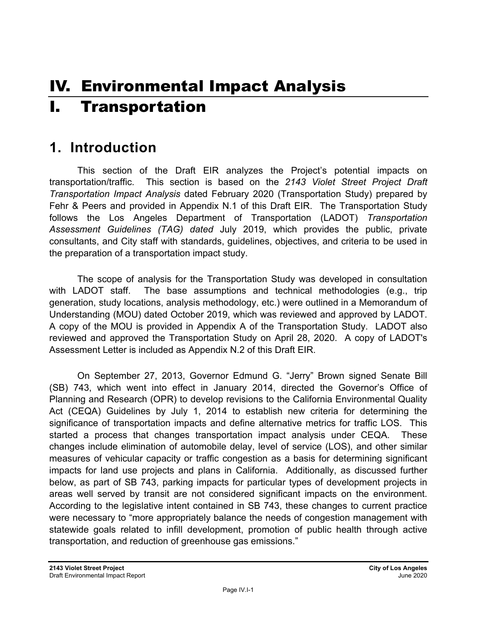# IV. Environmental Impact Analysis I. Transportation

## **1. Introduction**

This section of the Draft EIR analyzes the Project's potential impacts on transportation/traffic. This section is based on the *2143 Violet Street Project Draft Transportation Impact Analysis* dated February 2020 (Transportation Study) prepared by Fehr & Peers and provided in Appendix N.1 of this Draft EIR. The Transportation Study follows the Los Angeles Department of Transportation (LADOT) *Transportation Assessment Guidelines (TAG) dated* July 2019, which provides the public, private consultants, and City staff with standards, guidelines, objectives, and criteria to be used in the preparation of a transportation impact study.

The scope of analysis for the Transportation Study was developed in consultation with LADOT staff. The base assumptions and technical methodologies (e.g., trip generation, study locations, analysis methodology, etc.) were outlined in a Memorandum of Understanding (MOU) dated October 2019, which was reviewed and approved by LADOT. A copy of the MOU is provided in Appendix A of the Transportation Study. LADOT also reviewed and approved the Transportation Study on April 28, 2020. A copy of LADOT's Assessment Letter is included as Appendix N.2 of this Draft EIR.

On September 27, 2013, Governor Edmund G. "Jerry" Brown signed Senate Bill (SB) 743, which went into effect in January 2014, directed the Governor's Office of Planning and Research (OPR) to develop revisions to the California Environmental Quality Act (CEQA) Guidelines by July 1, 2014 to establish new criteria for determining the significance of transportation impacts and define alternative metrics for traffic LOS. This started a process that changes transportation impact analysis under CEQA. These changes include elimination of automobile delay, level of service (LOS), and other similar measures of vehicular capacity or traffic congestion as a basis for determining significant impacts for land use projects and plans in California. Additionally, as discussed further below, as part of SB 743, parking impacts for particular types of development projects in areas well served by transit are not considered significant impacts on the environment. According to the legislative intent contained in SB 743, these changes to current practice were necessary to "more appropriately balance the needs of congestion management with statewide goals related to infill development, promotion of public health through active transportation, and reduction of greenhouse gas emissions."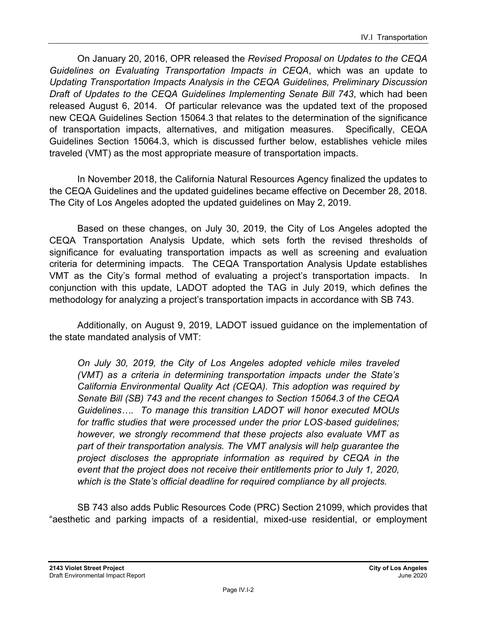On January 20, 2016, OPR released the *Revised Proposal on Updates to the CEQA Guidelines on Evaluating Transportation Impacts in CEQA*, which was an update to *Updating Transportation Impacts Analysis in the CEQA Guidelines, Preliminary Discussion Draft of Updates to the CEQA Guidelines Implementing Senate Bill 743*, which had been released August 6, 2014. Of particular relevance was the updated text of the proposed new CEQA Guidelines Section 15064.3 that relates to the determination of the significance of transportation impacts, alternatives, and mitigation measures. Specifically, CEQA Guidelines Section 15064.3, which is discussed further below, establishes vehicle miles traveled (VMT) as the most appropriate measure of transportation impacts.

In November 2018, the California Natural Resources Agency finalized the updates to the CEQA Guidelines and the updated guidelines became effective on December 28, 2018. The City of Los Angeles adopted the updated guidelines on May 2, 2019.

Based on these changes, on July 30, 2019, the City of Los Angeles adopted the CEQA Transportation Analysis Update, which sets forth the revised thresholds of significance for evaluating transportation impacts as well as screening and evaluation criteria for determining impacts. The CEQA Transportation Analysis Update establishes VMT as the City's formal method of evaluating a project's transportation impacts. In conjunction with this update, LADOT adopted the TAG in July 2019, which defines the methodology for analyzing a project's transportation impacts in accordance with SB 743.

Additionally, on August 9, 2019, LADOT issued guidance on the implementation of the state mandated analysis of VMT:

*On July 30, 2019, the City of Los Angeles adopted vehicle miles traveled (VMT) as a criteria in determining transportation impacts under the State's California Environmental Quality Act (CEQA). This adoption was required by Senate Bill (SB) 743 and the recent changes to Section 15064.3 of the CEQA Guidelines…. To manage this transition LADOT will honor executed MOUs for traffic studies that were processed under the prior LOS*-*based guidelines; however, we strongly recommend that these projects also evaluate VMT as part of their transportation analysis. The VMT analysis will help guarantee the project discloses the appropriate information as required by CEQA in the event that the project does not receive their entitlements prior to July 1, 2020, which is the State's official deadline for required compliance by all projects.* 

SB 743 also adds Public Resources Code (PRC) Section 21099, which provides that "aesthetic and parking impacts of a residential, mixed-use residential, or employment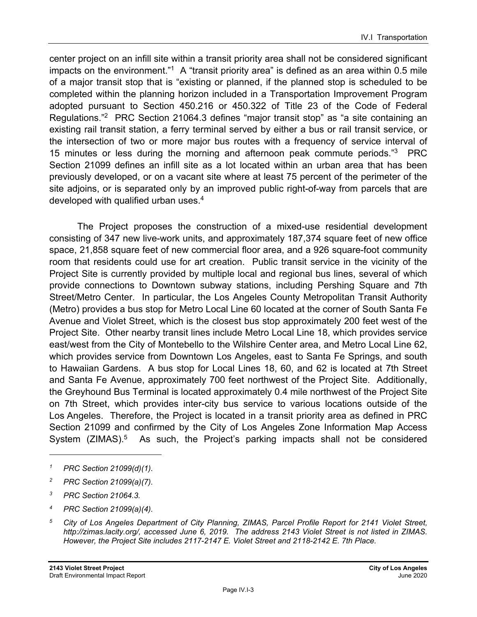center project on an infill site within a transit priority area shall not be considered significant impacts on the environment."<sup>1</sup> A "transit priority area" is defined as an area within  $0.5$  mile of a major transit stop that is "existing or planned, if the planned stop is scheduled to be completed within the planning horizon included in a Transportation Improvement Program adopted pursuant to Section 450.216 or 450.322 of Title 23 of the Code of Federal Regulations."2 PRC Section 21064.3 defines "major transit stop" as "a site containing an existing rail transit station, a ferry terminal served by either a bus or rail transit service, or the intersection of two or more major bus routes with a frequency of service interval of 15 minutes or less during the morning and afternoon peak commute periods."3 PRC Section 21099 defines an infill site as a lot located within an urban area that has been previously developed, or on a vacant site where at least 75 percent of the perimeter of the site adjoins, or is separated only by an improved public right-of-way from parcels that are developed with qualified urban uses.<sup>4</sup>

The Project proposes the construction of a mixed-use residential development consisting of 347 new live-work units, and approximately 187,374 square feet of new office space, 21,858 square feet of new commercial floor area, and a 926 square-foot community room that residents could use for art creation. Public transit service in the vicinity of the Project Site is currently provided by multiple local and regional bus lines, several of which provide connections to Downtown subway stations, including Pershing Square and 7th Street/Metro Center. In particular, the Los Angeles County Metropolitan Transit Authority (Metro) provides a bus stop for Metro Local Line 60 located at the corner of South Santa Fe Avenue and Violet Street, which is the closest bus stop approximately 200 feet west of the Project Site. Other nearby transit lines include Metro Local Line 18, which provides service east/west from the City of Montebello to the Wilshire Center area, and Metro Local Line 62, which provides service from Downtown Los Angeles, east to Santa Fe Springs, and south to Hawaiian Gardens. A bus stop for Local Lines 18, 60, and 62 is located at 7th Street and Santa Fe Avenue, approximately 700 feet northwest of the Project Site. Additionally, the Greyhound Bus Terminal is located approximately 0.4 mile northwest of the Project Site on 7th Street, which provides inter-city bus service to various locations outside of the Los Angeles. Therefore, the Project is located in a transit priority area as defined in PRC Section 21099 and confirmed by the City of Los Angeles Zone Information Map Access System (ZIMAS).<sup>5</sup> As such, the Project's parking impacts shall not be considered

- *2 PRC Section 21099(a)(7).*
- *3 PRC Section 21064.3.*
- *4 PRC Section 21099(a)(4).*
- *5 City of Los Angeles Department of City Planning, ZIMAS, Parcel Profile Report for 2141 Violet Street, http://zimas.lacity.org/, accessed June 6, 2019. The address 2143 Violet Street is not listed in ZIMAS. However, the Project Site includes 2117-2147 E. Violet Street and 2118-2142 E. 7th Place.*

*<sup>1</sup> PRC Section 21099(d)(1).*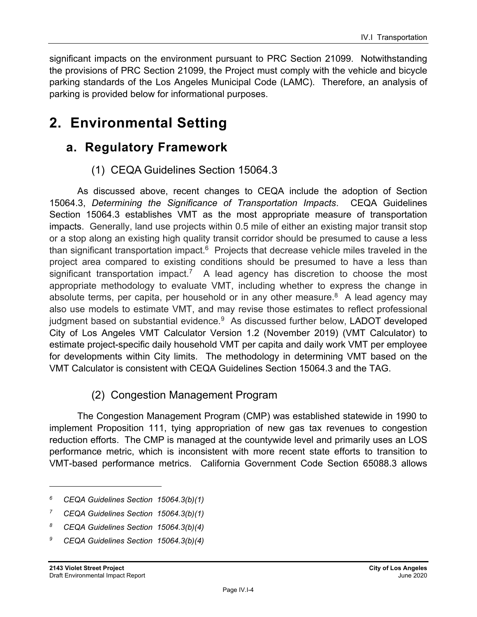significant impacts on the environment pursuant to PRC Section 21099. Notwithstanding the provisions of PRC Section 21099, the Project must comply with the vehicle and bicycle parking standards of the Los Angeles Municipal Code (LAMC). Therefore, an analysis of parking is provided below for informational purposes.

## **2. Environmental Setting**

## **a. Regulatory Framework**

## (1) CEQA Guidelines Section 15064.3

As discussed above, recent changes to CEQA include the adoption of Section 15064.3, *Determining the Significance of Transportation Impacts*. CEQA Guidelines Section 15064.3 establishes VMT as the most appropriate measure of transportation impacts. Generally, land use projects within 0.5 mile of either an existing major transit stop or a stop along an existing high quality transit corridor should be presumed to cause a less than significant transportation impact. $6$  Projects that decrease vehicle miles traveled in the project area compared to existing conditions should be presumed to have a less than significant transportation impact.<sup>7</sup> A lead agency has discretion to choose the most appropriate methodology to evaluate VMT, including whether to express the change in absolute terms, per capita, per household or in any other measure.<sup>8</sup> A lead agency may also use models to estimate VMT, and may revise those estimates to reflect professional judgment based on substantial evidence. $9$  As discussed further below, LADOT developed City of Los Angeles VMT Calculator Version 1.2 (November 2019) (VMT Calculator) to estimate project-specific daily household VMT per capita and daily work VMT per employee for developments within City limits. The methodology in determining VMT based on the VMT Calculator is consistent with CEQA Guidelines Section 15064.3 and the TAG.

## (2) Congestion Management Program

The Congestion Management Program (CMP) was established statewide in 1990 to implement Proposition 111, tying appropriation of new gas tax revenues to congestion reduction efforts. The CMP is managed at the countywide level and primarily uses an LOS performance metric, which is inconsistent with more recent state efforts to transition to VMT-based performance metrics. California Government Code Section 65088.3 allows

- *8 CEQA Guidelines Section 15064.3(b)(4)*
- *9 CEQA Guidelines Section 15064.3(b)(4)*

*<sup>6</sup> CEQA Guidelines Section 15064.3(b)(1)* 

*<sup>7</sup> CEQA Guidelines Section 15064.3(b)(1)*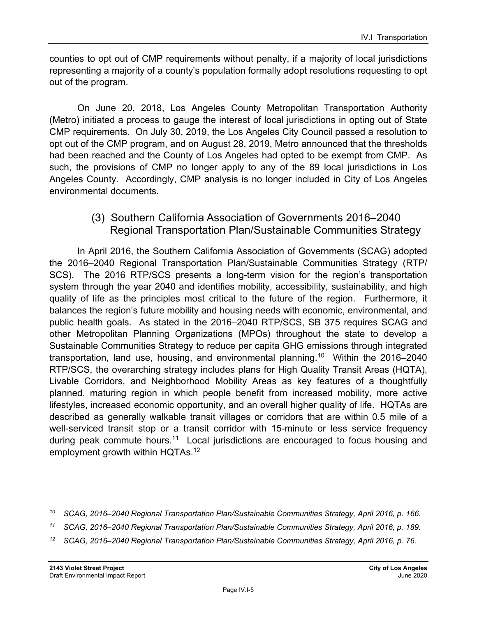counties to opt out of CMP requirements without penalty, if a majority of local jurisdictions representing a majority of a county's population formally adopt resolutions requesting to opt out of the program.

On June 20, 2018, Los Angeles County Metropolitan Transportation Authority (Metro) initiated a process to gauge the interest of local jurisdictions in opting out of State CMP requirements. On July 30, 2019, the Los Angeles City Council passed a resolution to opt out of the CMP program, and on August 28, 2019, Metro announced that the thresholds had been reached and the County of Los Angeles had opted to be exempt from CMP. As such, the provisions of CMP no longer apply to any of the 89 local jurisdictions in Los Angeles County. Accordingly, CMP analysis is no longer included in City of Los Angeles environmental documents.

### (3) Southern California Association of Governments 2016–2040 Regional Transportation Plan/Sustainable Communities Strategy

In April 2016, the Southern California Association of Governments (SCAG) adopted the 2016–2040 Regional Transportation Plan/Sustainable Communities Strategy (RTP/ SCS). The 2016 RTP/SCS presents a long-term vision for the region's transportation system through the year 2040 and identifies mobility, accessibility, sustainability, and high quality of life as the principles most critical to the future of the region. Furthermore, it balances the region's future mobility and housing needs with economic, environmental, and public health goals. As stated in the 2016–2040 RTP/SCS, SB 375 requires SCAG and other Metropolitan Planning Organizations (MPOs) throughout the state to develop a Sustainable Communities Strategy to reduce per capita GHG emissions through integrated transportation, land use, housing, and environmental planning.10 Within the 2016–2040 RTP/SCS, the overarching strategy includes plans for High Quality Transit Areas (HQTA), Livable Corridors, and Neighborhood Mobility Areas as key features of a thoughtfully planned, maturing region in which people benefit from increased mobility, more active lifestyles, increased economic opportunity, and an overall higher quality of life. HQTAs are described as generally walkable transit villages or corridors that are within 0.5 mile of a well-serviced transit stop or a transit corridor with 15-minute or less service frequency during peak commute hours.<sup>11</sup> Local jurisdictions are encouraged to focus housing and employment growth within HQTAs.<sup>12</sup>

*<sup>10</sup> SCAG, 2016–2040 Regional Transportation Plan/Sustainable Communities Strategy, April 2016, p. 166.* 

*<sup>11</sup> SCAG, 2016–2040 Regional Transportation Plan/Sustainable Communities Strategy, April 2016, p. 189.* 

*<sup>12</sup> SCAG, 2016–2040 Regional Transportation Plan/Sustainable Communities Strategy, April 2016, p. 76.*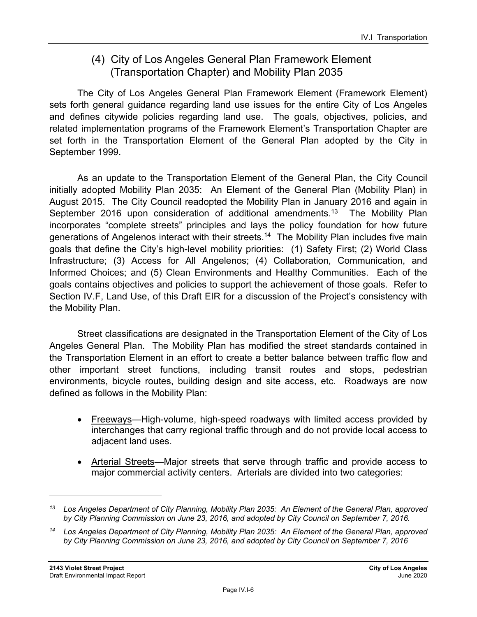## (4) City of Los Angeles General Plan Framework Element (Transportation Chapter) and Mobility Plan 2035

The City of Los Angeles General Plan Framework Element (Framework Element) sets forth general guidance regarding land use issues for the entire City of Los Angeles and defines citywide policies regarding land use. The goals, objectives, policies, and related implementation programs of the Framework Element's Transportation Chapter are set forth in the Transportation Element of the General Plan adopted by the City in September 1999.

As an update to the Transportation Element of the General Plan, the City Council initially adopted Mobility Plan 2035: An Element of the General Plan (Mobility Plan) in August 2015. The City Council readopted the Mobility Plan in January 2016 and again in September 2016 upon consideration of additional amendments.<sup>13</sup> The Mobility Plan incorporates "complete streets" principles and lays the policy foundation for how future generations of Angelenos interact with their streets.<sup>14</sup> The Mobility Plan includes five main goals that define the City's high-level mobility priorities: (1) Safety First; (2) World Class Infrastructure; (3) Access for All Angelenos; (4) Collaboration, Communication, and Informed Choices; and (5) Clean Environments and Healthy Communities. Each of the goals contains objectives and policies to support the achievement of those goals. Refer to Section IV.F, Land Use, of this Draft EIR for a discussion of the Project's consistency with the Mobility Plan.

Street classifications are designated in the Transportation Element of the City of Los Angeles General Plan. The Mobility Plan has modified the street standards contained in the Transportation Element in an effort to create a better balance between traffic flow and other important street functions, including transit routes and stops, pedestrian environments, bicycle routes, building design and site access, etc. Roadways are now defined as follows in the Mobility Plan:

- Freeways—High-volume, high-speed roadways with limited access provided by interchanges that carry regional traffic through and do not provide local access to adjacent land uses.
- Arterial Streets—Major streets that serve through traffic and provide access to major commercial activity centers. Arterials are divided into two categories:

*<sup>13</sup> Los Angeles Department of City Planning, Mobility Plan 2035: An Element of the General Plan, approved by City Planning Commission on June 23, 2016, and adopted by City Council on September 7, 2016.* 

*<sup>14</sup> Los Angeles Department of City Planning, Mobility Plan 2035: An Element of the General Plan, approved by City Planning Commission on June 23, 2016, and adopted by City Council on September 7, 2016*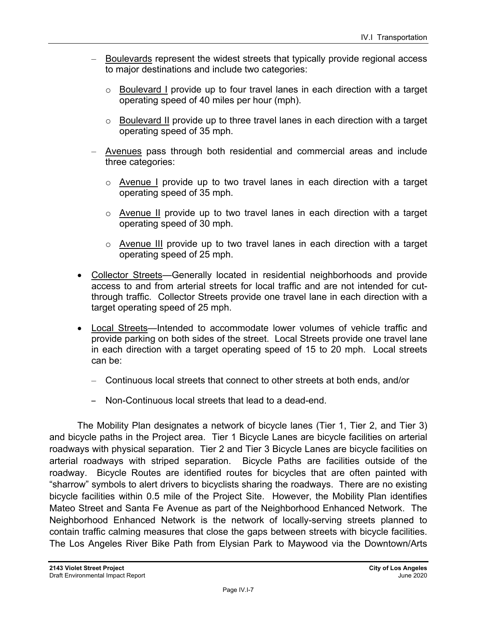- Boulevards represent the widest streets that typically provide regional access to major destinations and include two categories:
	- o Boulevard I provide up to four travel lanes in each direction with a target operating speed of 40 miles per hour (mph).
	- o Boulevard II provide up to three travel lanes in each direction with a target operating speed of 35 mph.
- Avenues pass through both residential and commercial areas and include three categories:
	- $\circ$  Avenue I provide up to two travel lanes in each direction with a target operating speed of 35 mph.
	- o Avenue II provide up to two travel lanes in each direction with a target operating speed of 30 mph.
	- o Avenue III provide up to two travel lanes in each direction with a target operating speed of 25 mph.
- Collector Streets—Generally located in residential neighborhoods and provide access to and from arterial streets for local traffic and are not intended for cutthrough traffic. Collector Streets provide one travel lane in each direction with a target operating speed of 25 mph.
- Local Streets—Intended to accommodate lower volumes of vehicle traffic and provide parking on both sides of the street. Local Streets provide one travel lane in each direction with a target operating speed of 15 to 20 mph. Local streets can be:
	- Continuous local streets that connect to other streets at both ends, and/or
	- Non-Continuous local streets that lead to a dead-end.

The Mobility Plan designates a network of bicycle lanes (Tier 1, Tier 2, and Tier 3) and bicycle paths in the Project area. Tier 1 Bicycle Lanes are bicycle facilities on arterial roadways with physical separation. Tier 2 and Tier 3 Bicycle Lanes are bicycle facilities on arterial roadways with striped separation. Bicycle Paths are facilities outside of the roadway. Bicycle Routes are identified routes for bicycles that are often painted with "sharrow" symbols to alert drivers to bicyclists sharing the roadways. There are no existing bicycle facilities within 0.5 mile of the Project Site. However, the Mobility Plan identifies Mateo Street and Santa Fe Avenue as part of the Neighborhood Enhanced Network. The Neighborhood Enhanced Network is the network of locally-serving streets planned to contain traffic calming measures that close the gaps between streets with bicycle facilities. The Los Angeles River Bike Path from Elysian Park to Maywood via the Downtown/Arts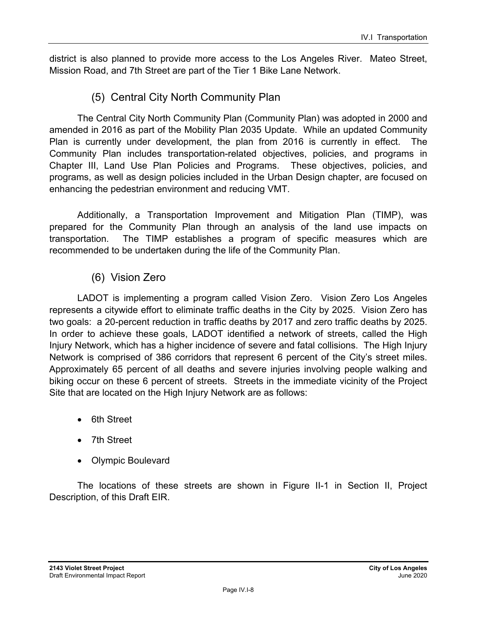district is also planned to provide more access to the Los Angeles River. Mateo Street, Mission Road, and 7th Street are part of the Tier 1 Bike Lane Network.

## (5) Central City North Community Plan

The Central City North Community Plan (Community Plan) was adopted in 2000 and amended in 2016 as part of the Mobility Plan 2035 Update. While an updated Community Plan is currently under development, the plan from 2016 is currently in effect. The Community Plan includes transportation-related objectives, policies, and programs in Chapter III, Land Use Plan Policies and Programs. These objectives, policies, and programs, as well as design policies included in the Urban Design chapter, are focused on enhancing the pedestrian environment and reducing VMT.

Additionally, a Transportation Improvement and Mitigation Plan (TIMP), was prepared for the Community Plan through an analysis of the land use impacts on transportation. The TIMP establishes a program of specific measures which are recommended to be undertaken during the life of the Community Plan.

## (6) Vision Zero

LADOT is implementing a program called Vision Zero. Vision Zero Los Angeles represents a citywide effort to eliminate traffic deaths in the City by 2025. Vision Zero has two goals: a 20-percent reduction in traffic deaths by 2017 and zero traffic deaths by 2025. In order to achieve these goals, LADOT identified a network of streets, called the High Injury Network, which has a higher incidence of severe and fatal collisions. The High Injury Network is comprised of 386 corridors that represent 6 percent of the City's street miles. Approximately 65 percent of all deaths and severe injuries involving people walking and biking occur on these 6 percent of streets. Streets in the immediate vicinity of the Project Site that are located on the High Injury Network are as follows:

- 6th Street
- 7th Street
- Olympic Boulevard

The locations of these streets are shown in Figure II-1 in Section II, Project Description, of this Draft EIR.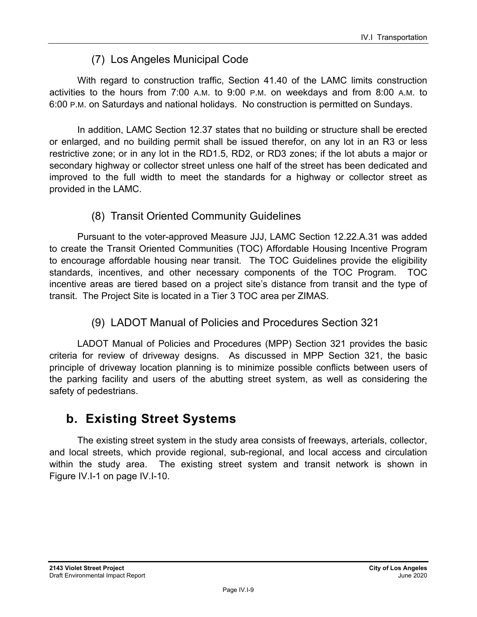## (7) Los Angeles Municipal Code

With regard to construction traffic, Section 41.40 of the LAMC limits construction activities to the hours from 7:00 A.M. to 9:00 P.M. on weekdays and from 8:00 A.M. to 6:00 P.M. on Saturdays and national holidays. No construction is permitted on Sundays.

In addition, LAMC Section 12.37 states that no building or structure shall be erected or enlarged, and no building permit shall be issued therefor, on any lot in an R3 or less restrictive zone; or in any lot in the RD1.5, RD2, or RD3 zones; if the lot abuts a major or secondary highway or collector street unless one half of the street has been dedicated and improved to the full width to meet the standards for a highway or collector street as provided in the LAMC.

## (8) Transit Oriented Community Guidelines

Pursuant to the voter-approved Measure JJJ, LAMC Section 12.22.A.31 was added to create the Transit Oriented Communities (TOC) Affordable Housing Incentive Program to encourage affordable housing near transit. The TOC Guidelines provide the eligibility standards, incentives, and other necessary components of the TOC Program. TOC incentive areas are tiered based on a project site's distance from transit and the type of transit. The Project Site is located in a Tier 3 TOC area per ZIMAS.

## (9) LADOT Manual of Policies and Procedures Section 321

LADOT Manual of Policies and Procedures (MPP) Section 321 provides the basic criteria for review of driveway designs. As discussed in MPP Section 321, the basic principle of driveway location planning is to minimize possible conflicts between users of the parking facility and users of the abutting street system, as well as considering the safety of pedestrians.

## **b. Existing Street Systems**

The existing street system in the study area consists of freeways, arterials, collector, and local streets, which provide regional, sub-regional, and local access and circulation within the study area. The existing street system and transit network is shown in Figure IV.I-1 on page IV.I-10.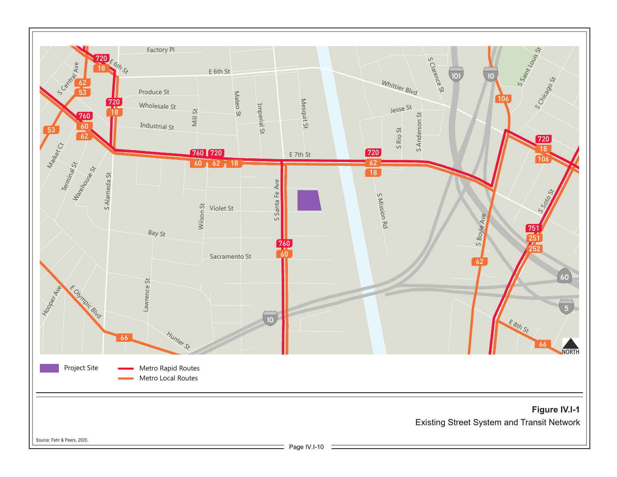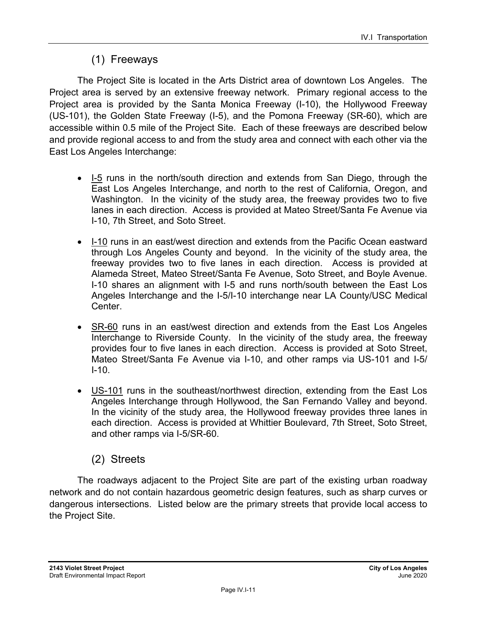## (1) Freeways

The Project Site is located in the Arts District area of downtown Los Angeles. The Project area is served by an extensive freeway network. Primary regional access to the Project area is provided by the Santa Monica Freeway (I-10), the Hollywood Freeway (US-101), the Golden State Freeway (I-5), and the Pomona Freeway (SR-60), which are accessible within 0.5 mile of the Project Site. Each of these freeways are described below and provide regional access to and from the study area and connect with each other via the East Los Angeles Interchange:

- I-5 runs in the north/south direction and extends from San Diego, through the East Los Angeles Interchange, and north to the rest of California, Oregon, and Washington. In the vicinity of the study area, the freeway provides two to five lanes in each direction. Access is provided at Mateo Street/Santa Fe Avenue via I-10, 7th Street, and Soto Street.
- I-10 runs in an east/west direction and extends from the Pacific Ocean eastward through Los Angeles County and beyond. In the vicinity of the study area, the freeway provides two to five lanes in each direction. Access is provided at Alameda Street, Mateo Street/Santa Fe Avenue, Soto Street, and Boyle Avenue. I-10 shares an alignment with I-5 and runs north/south between the East Los Angeles Interchange and the I-5/I-10 interchange near LA County/USC Medical Center.
- SR-60 runs in an east/west direction and extends from the East Los Angeles Interchange to Riverside County. In the vicinity of the study area, the freeway provides four to five lanes in each direction. Access is provided at Soto Street, Mateo Street/Santa Fe Avenue via I-10, and other ramps via US-101 and I-5/  $I-10.$
- US-101 runs in the southeast/northwest direction, extending from the East Los Angeles Interchange through Hollywood, the San Fernando Valley and beyond. In the vicinity of the study area, the Hollywood freeway provides three lanes in each direction. Access is provided at Whittier Boulevard, 7th Street, Soto Street, and other ramps via I-5/SR-60.

## (2) Streets

The roadways adjacent to the Project Site are part of the existing urban roadway network and do not contain hazardous geometric design features, such as sharp curves or dangerous intersections. Listed below are the primary streets that provide local access to the Project Site.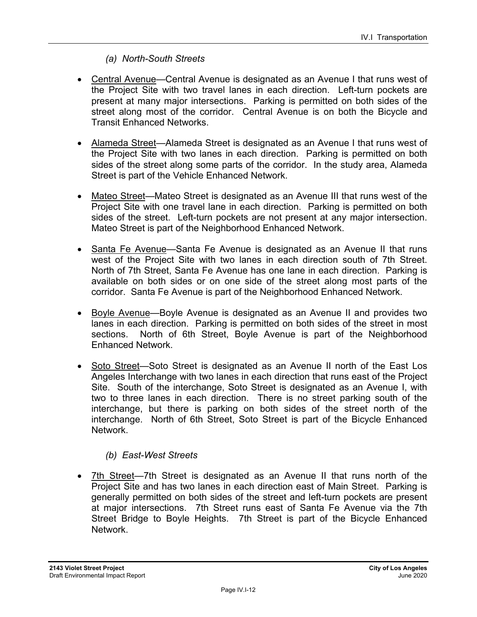#### *(a) North-South Streets*

- Central Avenue—Central Avenue is designated as an Avenue I that runs west of the Project Site with two travel lanes in each direction. Left-turn pockets are present at many major intersections. Parking is permitted on both sides of the street along most of the corridor. Central Avenue is on both the Bicycle and Transit Enhanced Networks.
- Alameda Street—Alameda Street is designated as an Avenue I that runs west of the Project Site with two lanes in each direction. Parking is permitted on both sides of the street along some parts of the corridor. In the study area, Alameda Street is part of the Vehicle Enhanced Network.
- Mateo Street—Mateo Street is designated as an Avenue III that runs west of the Project Site with one travel lane in each direction. Parking is permitted on both sides of the street. Left-turn pockets are not present at any major intersection. Mateo Street is part of the Neighborhood Enhanced Network.
- Santa Fe Avenue—Santa Fe Avenue is designated as an Avenue II that runs west of the Project Site with two lanes in each direction south of 7th Street. North of 7th Street, Santa Fe Avenue has one lane in each direction. Parking is available on both sides or on one side of the street along most parts of the corridor. Santa Fe Avenue is part of the Neighborhood Enhanced Network.
- Boyle Avenue—Boyle Avenue is designated as an Avenue II and provides two lanes in each direction. Parking is permitted on both sides of the street in most sections. North of 6th Street, Boyle Avenue is part of the Neighborhood Enhanced Network.
- Soto Street-Soto Street is designated as an Avenue II north of the East Los Angeles Interchange with two lanes in each direction that runs east of the Project Site. South of the interchange, Soto Street is designated as an Avenue I, with two to three lanes in each direction. There is no street parking south of the interchange, but there is parking on both sides of the street north of the interchange. North of 6th Street, Soto Street is part of the Bicycle Enhanced Network.

#### *(b) East-West Streets*

 7th Street—7th Street is designated as an Avenue II that runs north of the Project Site and has two lanes in each direction east of Main Street. Parking is generally permitted on both sides of the street and left-turn pockets are present at major intersections. 7th Street runs east of Santa Fe Avenue via the 7th Street Bridge to Boyle Heights. 7th Street is part of the Bicycle Enhanced Network.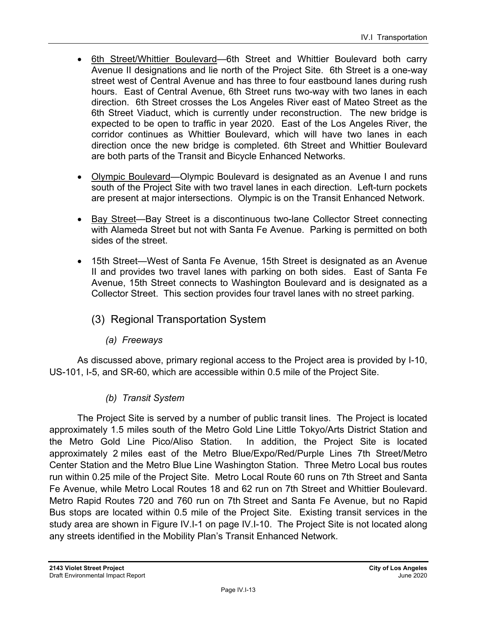- 6th Street/Whittier Boulevard—6th Street and Whittier Boulevard both carry Avenue II designations and lie north of the Project Site. 6th Street is a one-way street west of Central Avenue and has three to four eastbound lanes during rush hours. East of Central Avenue, 6th Street runs two-way with two lanes in each direction. 6th Street crosses the Los Angeles River east of Mateo Street as the 6th Street Viaduct, which is currently under reconstruction. The new bridge is expected to be open to traffic in year 2020. East of the Los Angeles River, the corridor continues as Whittier Boulevard, which will have two lanes in each direction once the new bridge is completed. 6th Street and Whittier Boulevard are both parts of the Transit and Bicycle Enhanced Networks.
- Olympic Boulevard—Olympic Boulevard is designated as an Avenue I and runs south of the Project Site with two travel lanes in each direction. Left-turn pockets are present at major intersections. Olympic is on the Transit Enhanced Network.
- Bay Street—Bay Street is a discontinuous two-lane Collector Street connecting with Alameda Street but not with Santa Fe Avenue. Parking is permitted on both sides of the street.
- 15th Street—West of Santa Fe Avenue, 15th Street is designated as an Avenue II and provides two travel lanes with parking on both sides. East of Santa Fe Avenue, 15th Street connects to Washington Boulevard and is designated as a Collector Street. This section provides four travel lanes with no street parking.
	- (3) Regional Transportation System
		- *(a) Freeways*

As discussed above, primary regional access to the Project area is provided by I-10, US-101, I-5, and SR-60, which are accessible within 0.5 mile of the Project Site.

### *(b) Transit System*

The Project Site is served by a number of public transit lines. The Project is located approximately 1.5 miles south of the Metro Gold Line Little Tokyo/Arts District Station and the Metro Gold Line Pico/Aliso Station. In addition, the Project Site is located approximately 2 miles east of the Metro Blue/Expo/Red/Purple Lines 7th Street/Metro Center Station and the Metro Blue Line Washington Station. Three Metro Local bus routes run within 0.25 mile of the Project Site. Metro Local Route 60 runs on 7th Street and Santa Fe Avenue, while Metro Local Routes 18 and 62 run on 7th Street and Whittier Boulevard. Metro Rapid Routes 720 and 760 run on 7th Street and Santa Fe Avenue, but no Rapid Bus stops are located within 0.5 mile of the Project Site. Existing transit services in the study area are shown in Figure IV.I-1 on page IV.I-10. The Project Site is not located along any streets identified in the Mobility Plan's Transit Enhanced Network.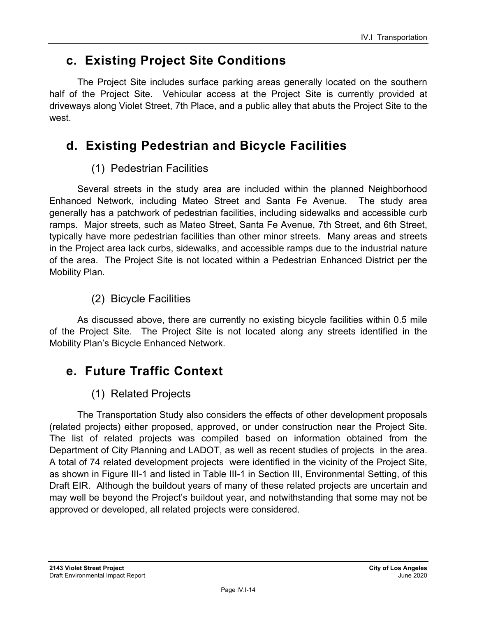## **c. Existing Project Site Conditions**

The Project Site includes surface parking areas generally located on the southern half of the Project Site. Vehicular access at the Project Site is currently provided at driveways along Violet Street, 7th Place, and a public alley that abuts the Project Site to the west.

## **d. Existing Pedestrian and Bicycle Facilities**

## (1) Pedestrian Facilities

Several streets in the study area are included within the planned Neighborhood Enhanced Network, including Mateo Street and Santa Fe Avenue. The study area generally has a patchwork of pedestrian facilities, including sidewalks and accessible curb ramps. Major streets, such as Mateo Street, Santa Fe Avenue, 7th Street, and 6th Street, typically have more pedestrian facilities than other minor streets. Many areas and streets in the Project area lack curbs, sidewalks, and accessible ramps due to the industrial nature of the area. The Project Site is not located within a Pedestrian Enhanced District per the Mobility Plan.

## (2) Bicycle Facilities

As discussed above, there are currently no existing bicycle facilities within 0.5 mile of the Project Site. The Project Site is not located along any streets identified in the Mobility Plan's Bicycle Enhanced Network.

## **e. Future Traffic Context**

## (1) Related Projects

The Transportation Study also considers the effects of other development proposals (related projects) either proposed, approved, or under construction near the Project Site. The list of related projects was compiled based on information obtained from the Department of City Planning and LADOT, as well as recent studies of projects in the area. A total of 74 related development projects were identified in the vicinity of the Project Site, as shown in Figure III-1 and listed in Table III-1 in Section III, Environmental Setting, of this Draft EIR. Although the buildout years of many of these related projects are uncertain and may well be beyond the Project's buildout year, and notwithstanding that some may not be approved or developed, all related projects were considered.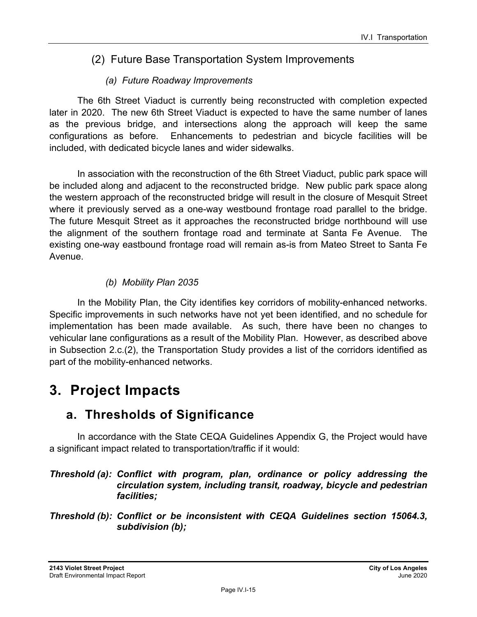## (2) Future Base Transportation System Improvements

### *(a) Future Roadway Improvements*

The 6th Street Viaduct is currently being reconstructed with completion expected later in 2020. The new 6th Street Viaduct is expected to have the same number of lanes as the previous bridge, and intersections along the approach will keep the same configurations as before. Enhancements to pedestrian and bicycle facilities will be included, with dedicated bicycle lanes and wider sidewalks.

In association with the reconstruction of the 6th Street Viaduct, public park space will be included along and adjacent to the reconstructed bridge. New public park space along the western approach of the reconstructed bridge will result in the closure of Mesquit Street where it previously served as a one-way westbound frontage road parallel to the bridge. The future Mesquit Street as it approaches the reconstructed bridge northbound will use the alignment of the southern frontage road and terminate at Santa Fe Avenue. The existing one-way eastbound frontage road will remain as-is from Mateo Street to Santa Fe Avenue.

### *(b) Mobility Plan 2035*

In the Mobility Plan, the City identifies key corridors of mobility-enhanced networks. Specific improvements in such networks have not yet been identified, and no schedule for implementation has been made available. As such, there have been no changes to vehicular lane configurations as a result of the Mobility Plan. However, as described above in Subsection 2.c.(2), the Transportation Study provides a list of the corridors identified as part of the mobility-enhanced networks.

## **3. Project Impacts**

## **a. Thresholds of Significance**

In accordance with the State CEQA Guidelines Appendix G, the Project would have a significant impact related to transportation/traffic if it would:

#### *Threshold (a): Conflict with program, plan, ordinance or policy addressing the circulation system, including transit, roadway, bicycle and pedestrian facilities;*

*Threshold (b): Conflict or be inconsistent with CEQA Guidelines section 15064.3, subdivision (b);*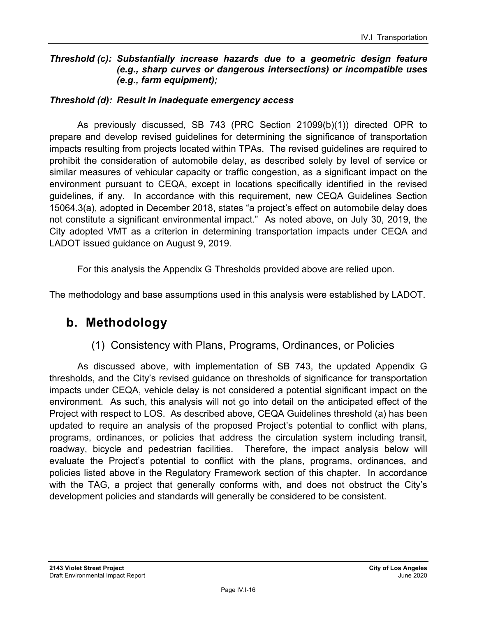#### *Threshold (c): Substantially increase hazards due to a geometric design feature (e.g., sharp curves or dangerous intersections) or incompatible uses (e.g., farm equipment);*

#### *Threshold (d): Result in inadequate emergency access*

As previously discussed, SB 743 (PRC Section 21099(b)(1)) directed OPR to prepare and develop revised guidelines for determining the significance of transportation impacts resulting from projects located within TPAs. The revised guidelines are required to prohibit the consideration of automobile delay, as described solely by level of service or similar measures of vehicular capacity or traffic congestion, as a significant impact on the environment pursuant to CEQA, except in locations specifically identified in the revised guidelines, if any. In accordance with this requirement, new CEQA Guidelines Section 15064.3(a), adopted in December 2018, states "a project's effect on automobile delay does not constitute a significant environmental impact." As noted above, on July 30, 2019, the City adopted VMT as a criterion in determining transportation impacts under CEQA and LADOT issued guidance on August 9, 2019.

For this analysis the Appendix G Thresholds provided above are relied upon.

The methodology and base assumptions used in this analysis were established by LADOT.

## **b. Methodology**

## (1) Consistency with Plans, Programs, Ordinances, or Policies

As discussed above, with implementation of SB 743, the updated Appendix G thresholds, and the City's revised guidance on thresholds of significance for transportation impacts under CEQA, vehicle delay is not considered a potential significant impact on the environment. As such, this analysis will not go into detail on the anticipated effect of the Project with respect to LOS. As described above, CEQA Guidelines threshold (a) has been updated to require an analysis of the proposed Project's potential to conflict with plans, programs, ordinances, or policies that address the circulation system including transit, roadway, bicycle and pedestrian facilities. Therefore, the impact analysis below will evaluate the Project's potential to conflict with the plans, programs, ordinances, and policies listed above in the Regulatory Framework section of this chapter. In accordance with the TAG, a project that generally conforms with, and does not obstruct the City's development policies and standards will generally be considered to be consistent.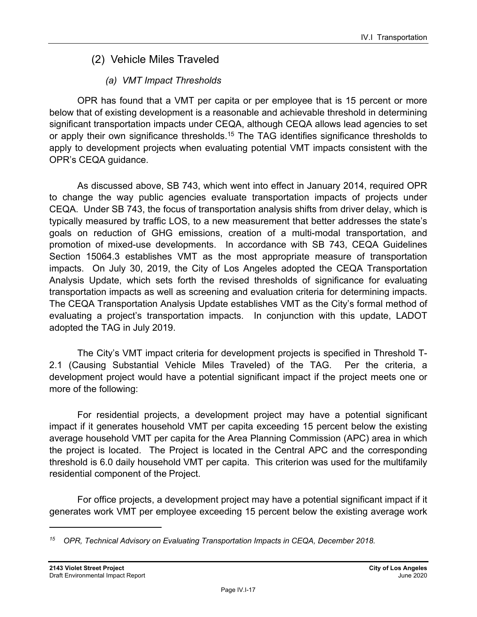## (2) Vehicle Miles Traveled

## *(a) VMT Impact Thresholds*

OPR has found that a VMT per capita or per employee that is 15 percent or more below that of existing development is a reasonable and achievable threshold in determining significant transportation impacts under CEQA, although CEQA allows lead agencies to set or apply their own significance thresholds.<sup>15</sup> The TAG identifies significance thresholds to apply to development projects when evaluating potential VMT impacts consistent with the OPR's CEQA guidance.

As discussed above, SB 743, which went into effect in January 2014, required OPR to change the way public agencies evaluate transportation impacts of projects under CEQA. Under SB 743, the focus of transportation analysis shifts from driver delay, which is typically measured by traffic LOS, to a new measurement that better addresses the state's goals on reduction of GHG emissions, creation of a multi-modal transportation, and promotion of mixed-use developments. In accordance with SB 743, CEQA Guidelines Section 15064.3 establishes VMT as the most appropriate measure of transportation impacts. On July 30, 2019, the City of Los Angeles adopted the CEQA Transportation Analysis Update, which sets forth the revised thresholds of significance for evaluating transportation impacts as well as screening and evaluation criteria for determining impacts. The CEQA Transportation Analysis Update establishes VMT as the City's formal method of evaluating a project's transportation impacts. In conjunction with this update, LADOT adopted the TAG in July 2019.

The City's VMT impact criteria for development projects is specified in Threshold T-2.1 (Causing Substantial Vehicle Miles Traveled) of the TAG. Per the criteria, a development project would have a potential significant impact if the project meets one or more of the following:

For residential projects, a development project may have a potential significant impact if it generates household VMT per capita exceeding 15 percent below the existing average household VMT per capita for the Area Planning Commission (APC) area in which the project is located. The Project is located in the Central APC and the corresponding threshold is 6.0 daily household VMT per capita. This criterion was used for the multifamily residential component of the Project.

For office projects, a development project may have a potential significant impact if it generates work VMT per employee exceeding 15 percent below the existing average work

*<sup>15</sup> OPR, Technical Advisory on Evaluating Transportation Impacts in CEQA, December 2018.*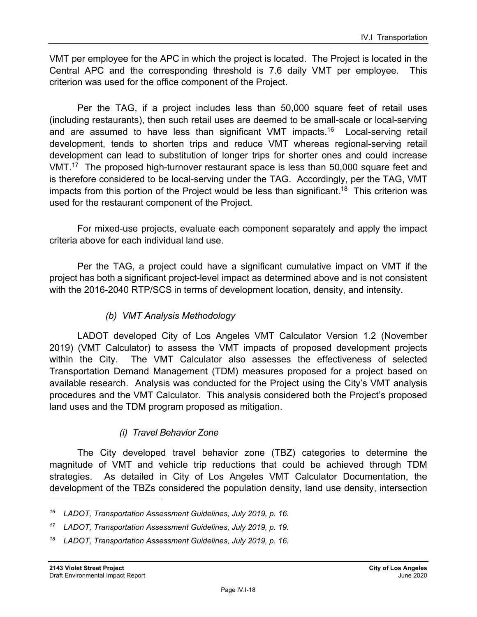VMT per employee for the APC in which the project is located. The Project is located in the Central APC and the corresponding threshold is 7.6 daily VMT per employee. This criterion was used for the office component of the Project.

Per the TAG, if a project includes less than 50,000 square feet of retail uses (including restaurants), then such retail uses are deemed to be small-scale or local-serving and are assumed to have less than significant VMT impacts.16 Local-serving retail development, tends to shorten trips and reduce VMT whereas regional-serving retail development can lead to substitution of longer trips for shorter ones and could increase VMT.17 The proposed high-turnover restaurant space is less than 50,000 square feet and is therefore considered to be local-serving under the TAG. Accordingly, per the TAG, VMT impacts from this portion of the Project would be less than significant.<sup>18</sup> This criterion was used for the restaurant component of the Project.

For mixed-use projects, evaluate each component separately and apply the impact criteria above for each individual land use.

Per the TAG, a project could have a significant cumulative impact on VMT if the project has both a significant project-level impact as determined above and is not consistent with the 2016-2040 RTP/SCS in terms of development location, density, and intensity.

### *(b) VMT Analysis Methodology*

LADOT developed City of Los Angeles VMT Calculator Version 1.2 (November 2019) (VMT Calculator) to assess the VMT impacts of proposed development projects within the City. The VMT Calculator also assesses the effectiveness of selected Transportation Demand Management (TDM) measures proposed for a project based on available research. Analysis was conducted for the Project using the City's VMT analysis procedures and the VMT Calculator. This analysis considered both the Project's proposed land uses and the TDM program proposed as mitigation.

### *(i) Travel Behavior Zone*

The City developed travel behavior zone (TBZ) categories to determine the magnitude of VMT and vehicle trip reductions that could be achieved through TDM strategies. As detailed in City of Los Angeles VMT Calculator Documentation, the development of the TBZs considered the population density, land use density, intersection

*<sup>16</sup> LADOT, Transportation Assessment Guidelines, July 2019, p. 16.* 

*<sup>17</sup> LADOT, Transportation Assessment Guidelines, July 2019, p. 19.* 

*<sup>18</sup> LADOT, Transportation Assessment Guidelines, July 2019, p. 16.*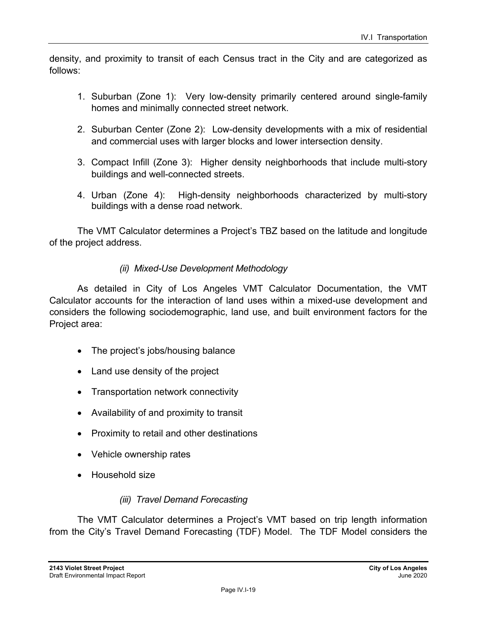density, and proximity to transit of each Census tract in the City and are categorized as follows:

- 1. Suburban (Zone 1): Very low-density primarily centered around single-family homes and minimally connected street network.
- 2. Suburban Center (Zone 2): Low-density developments with a mix of residential and commercial uses with larger blocks and lower intersection density.
- 3. Compact Infill (Zone 3): Higher density neighborhoods that include multi-story buildings and well-connected streets.
- 4. Urban (Zone 4): High-density neighborhoods characterized by multi-story buildings with a dense road network.

The VMT Calculator determines a Project's TBZ based on the latitude and longitude of the project address.

#### *(ii) Mixed-Use Development Methodology*

As detailed in City of Los Angeles VMT Calculator Documentation, the VMT Calculator accounts for the interaction of land uses within a mixed-use development and considers the following sociodemographic, land use, and built environment factors for the Project area:

- The project's jobs/housing balance
- Land use density of the project
- Transportation network connectivity
- Availability of and proximity to transit
- Proximity to retail and other destinations
- Vehicle ownership rates
- Household size

### *(iii) Travel Demand Forecasting*

The VMT Calculator determines a Project's VMT based on trip length information from the City's Travel Demand Forecasting (TDF) Model. The TDF Model considers the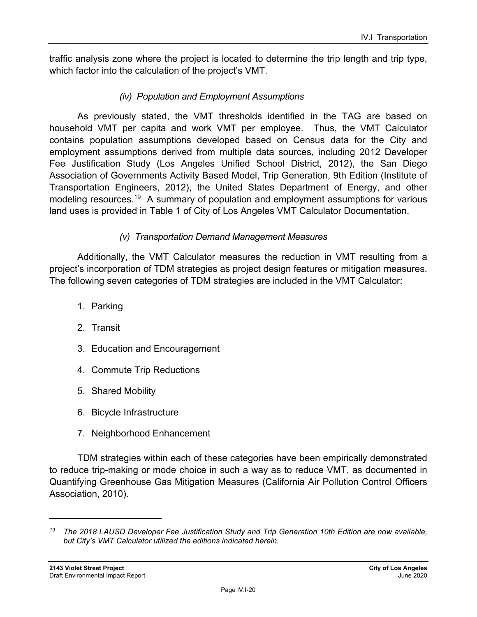traffic analysis zone where the project is located to determine the trip length and trip type, which factor into the calculation of the project's VMT.

#### *(iv) Population and Employment Assumptions*

As previously stated, the VMT thresholds identified in the TAG are based on household VMT per capita and work VMT per employee. Thus, the VMT Calculator contains population assumptions developed based on Census data for the City and employment assumptions derived from multiple data sources, including 2012 Developer Fee Justification Study (Los Angeles Unified School District, 2012), the San Diego Association of Governments Activity Based Model, Trip Generation, 9th Edition (Institute of Transportation Engineers, 2012), the United States Department of Energy, and other modeling resources.<sup>19</sup> A summary of population and employment assumptions for various land uses is provided in Table 1 of City of Los Angeles VMT Calculator Documentation.

#### *(v) Transportation Demand Management Measures*

Additionally, the VMT Calculator measures the reduction in VMT resulting from a project's incorporation of TDM strategies as project design features or mitigation measures. The following seven categories of TDM strategies are included in the VMT Calculator:

- 1. Parking
- 2. Transit
- 3. Education and Encouragement
- 4. Commute Trip Reductions
- 5. Shared Mobility
- 6. Bicycle Infrastructure
- 7. Neighborhood Enhancement

TDM strategies within each of these categories have been empirically demonstrated to reduce trip-making or mode choice in such a way as to reduce VMT, as documented in Quantifying Greenhouse Gas Mitigation Measures (California Air Pollution Control Officers Association, 2010).

*<sup>19</sup> The 2018 LAUSD Developer Fee Justification Study and Trip Generation 10th Edition are now available, but City's VMT Calculator utilized the editions indicated herein.*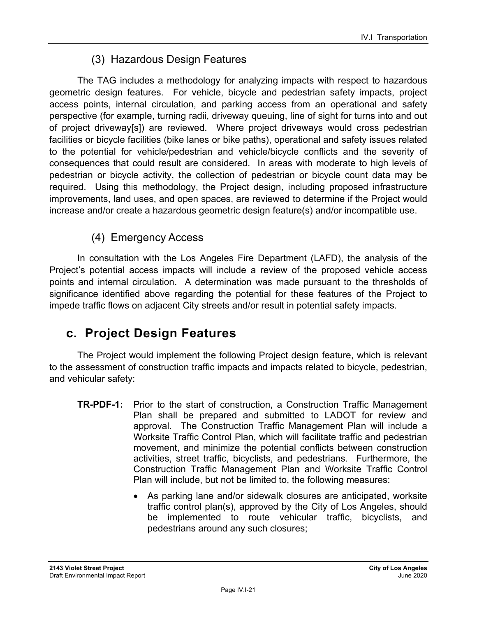## (3) Hazardous Design Features

The TAG includes a methodology for analyzing impacts with respect to hazardous geometric design features. For vehicle, bicycle and pedestrian safety impacts, project access points, internal circulation, and parking access from an operational and safety perspective (for example, turning radii, driveway queuing, line of sight for turns into and out of project driveway[s]) are reviewed. Where project driveways would cross pedestrian facilities or bicycle facilities (bike lanes or bike paths), operational and safety issues related to the potential for vehicle/pedestrian and vehicle/bicycle conflicts and the severity of consequences that could result are considered. In areas with moderate to high levels of pedestrian or bicycle activity, the collection of pedestrian or bicycle count data may be required. Using this methodology, the Project design, including proposed infrastructure improvements, land uses, and open spaces, are reviewed to determine if the Project would increase and/or create a hazardous geometric design feature(s) and/or incompatible use.

## (4) Emergency Access

In consultation with the Los Angeles Fire Department (LAFD), the analysis of the Project's potential access impacts will include a review of the proposed vehicle access points and internal circulation. A determination was made pursuant to the thresholds of significance identified above regarding the potential for these features of the Project to impede traffic flows on adjacent City streets and/or result in potential safety impacts.

## **c. Project Design Features**

The Project would implement the following Project design feature, which is relevant to the assessment of construction traffic impacts and impacts related to bicycle, pedestrian, and vehicular safety:

- **TR-PDF-1:** Prior to the start of construction, a Construction Traffic Management Plan shall be prepared and submitted to LADOT for review and approval. The Construction Traffic Management Plan will include a Worksite Traffic Control Plan, which will facilitate traffic and pedestrian movement, and minimize the potential conflicts between construction activities, street traffic, bicyclists, and pedestrians. Furthermore, the Construction Traffic Management Plan and Worksite Traffic Control Plan will include, but not be limited to, the following measures:
	- As parking lane and/or sidewalk closures are anticipated, worksite traffic control plan(s), approved by the City of Los Angeles, should be implemented to route vehicular traffic, bicyclists, and pedestrians around any such closures;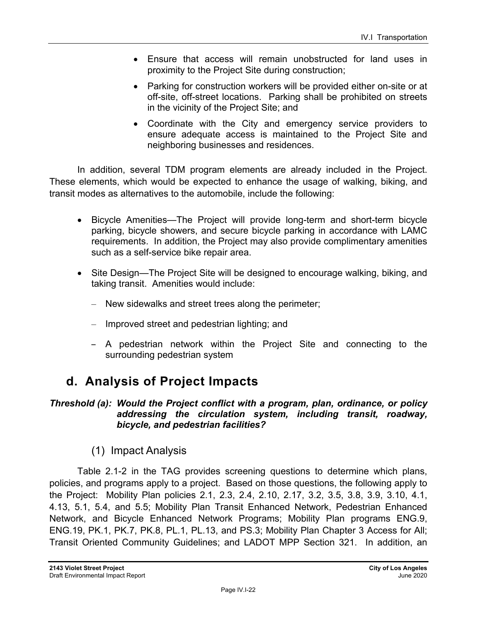- Ensure that access will remain unobstructed for land uses in proximity to the Project Site during construction;
- Parking for construction workers will be provided either on-site or at off-site, off-street locations. Parking shall be prohibited on streets in the vicinity of the Project Site; and
- Coordinate with the City and emergency service providers to ensure adequate access is maintained to the Project Site and neighboring businesses and residences.

In addition, several TDM program elements are already included in the Project. These elements, which would be expected to enhance the usage of walking, biking, and transit modes as alternatives to the automobile, include the following:

- Bicycle Amenities—The Project will provide long-term and short-term bicycle parking, bicycle showers, and secure bicycle parking in accordance with LAMC requirements. In addition, the Project may also provide complimentary amenities such as a self-service bike repair area.
- Site Design—The Project Site will be designed to encourage walking, biking, and taking transit. Amenities would include:
	- New sidewalks and street trees along the perimeter;
	- Improved street and pedestrian lighting; and
	- A pedestrian network within the Project Site and connecting to the surrounding pedestrian system

## **d. Analysis of Project Impacts**

#### *Threshold (a): Would the Project conflict with a program, plan, ordinance, or policy addressing the circulation system, including transit, roadway, bicycle, and pedestrian facilities?*

## (1) Impact Analysis

Table 2.1-2 in the TAG provides screening questions to determine which plans, policies, and programs apply to a project. Based on those questions, the following apply to the Project: Mobility Plan policies 2.1, 2.3, 2.4, 2.10, 2.17, 3.2, 3.5, 3.8, 3.9, 3.10, 4.1, 4.13, 5.1, 5.4, and 5.5; Mobility Plan Transit Enhanced Network, Pedestrian Enhanced Network, and Bicycle Enhanced Network Programs; Mobility Plan programs ENG.9, ENG.19, PK.1, PK.7, PK.8, PL.1, PL.13, and PS.3; Mobility Plan Chapter 3 Access for All; Transit Oriented Community Guidelines; and LADOT MPP Section 321. In addition, an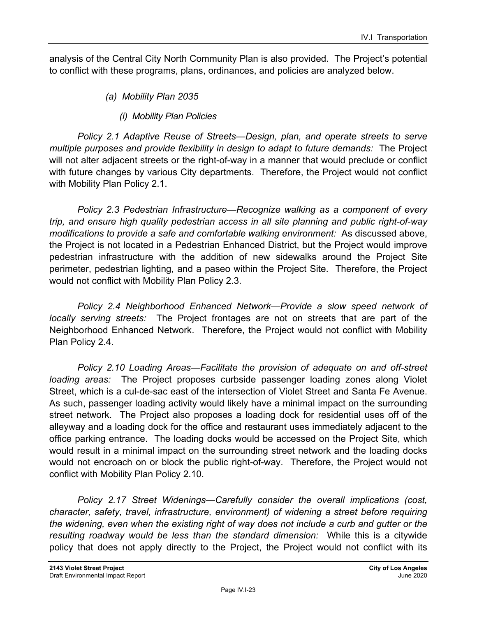analysis of the Central City North Community Plan is also provided. The Project's potential to conflict with these programs, plans, ordinances, and policies are analyzed below.

- *(a) Mobility Plan 2035* 
	- *(i) Mobility Plan Policies*

*Policy 2.1 Adaptive Reuse of Streets—Design, plan, and operate streets to serve multiple purposes and provide flexibility in design to adapt to future demands:* The Project will not alter adjacent streets or the right-of-way in a manner that would preclude or conflict with future changes by various City departments. Therefore, the Project would not conflict with Mobility Plan Policy 2.1.

*Policy 2.3 Pedestrian Infrastructure—Recognize walking as a component of every trip, and ensure high quality pedestrian access in all site planning and public right-of-way modifications to provide a safe and comfortable walking environment:* As discussed above, the Project is not located in a Pedestrian Enhanced District, but the Project would improve pedestrian infrastructure with the addition of new sidewalks around the Project Site perimeter, pedestrian lighting, and a paseo within the Project Site. Therefore, the Project would not conflict with Mobility Plan Policy 2.3.

*Policy 2.4 Neighborhood Enhanced Network—Provide a slow speed network of locally serving streets:* The Project frontages are not on streets that are part of the Neighborhood Enhanced Network. Therefore, the Project would not conflict with Mobility Plan Policy 2.4.

*Policy 2.10 Loading Areas—Facilitate the provision of adequate on and off-street loading areas:* The Project proposes curbside passenger loading zones along Violet Street, which is a cul-de-sac east of the intersection of Violet Street and Santa Fe Avenue. As such, passenger loading activity would likely have a minimal impact on the surrounding street network. The Project also proposes a loading dock for residential uses off of the alleyway and a loading dock for the office and restaurant uses immediately adjacent to the office parking entrance. The loading docks would be accessed on the Project Site, which would result in a minimal impact on the surrounding street network and the loading docks would not encroach on or block the public right-of-way. Therefore, the Project would not conflict with Mobility Plan Policy 2.10.

*Policy 2.17 Street Widenings—Carefully consider the overall implications (cost, character, safety, travel, infrastructure, environment) of widening a street before requiring the widening, even when the existing right of way does not include a curb and gutter or the resulting roadway would be less than the standard dimension:* While this is a citywide policy that does not apply directly to the Project, the Project would not conflict with its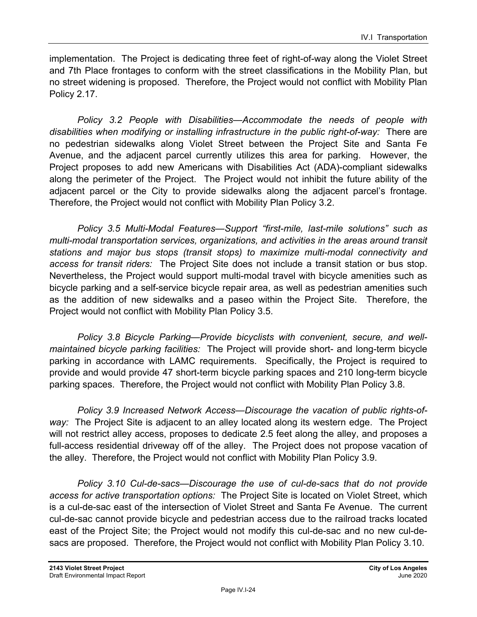implementation. The Project is dedicating three feet of right-of-way along the Violet Street and 7th Place frontages to conform with the street classifications in the Mobility Plan, but no street widening is proposed. Therefore, the Project would not conflict with Mobility Plan Policy 2.17.

*Policy 3.2 People with Disabilities—Accommodate the needs of people with disabilities when modifying or installing infrastructure in the public right-of-way:* There are no pedestrian sidewalks along Violet Street between the Project Site and Santa Fe Avenue, and the adjacent parcel currently utilizes this area for parking. However, the Project proposes to add new Americans with Disabilities Act (ADA)-compliant sidewalks along the perimeter of the Project. The Project would not inhibit the future ability of the adjacent parcel or the City to provide sidewalks along the adjacent parcel's frontage. Therefore, the Project would not conflict with Mobility Plan Policy 3.2.

*Policy 3.5 Multi-Modal Features—Support "first-mile, last-mile solutions" such as multi-modal transportation services, organizations, and activities in the areas around transit stations and major bus stops (transit stops) to maximize multi-modal connectivity and access for transit riders:* The Project Site does not include a transit station or bus stop. Nevertheless, the Project would support multi-modal travel with bicycle amenities such as bicycle parking and a self-service bicycle repair area, as well as pedestrian amenities such as the addition of new sidewalks and a paseo within the Project Site. Therefore, the Project would not conflict with Mobility Plan Policy 3.5.

*Policy 3.8 Bicycle Parking—Provide bicyclists with convenient, secure, and wellmaintained bicycle parking facilities:* The Project will provide short- and long-term bicycle parking in accordance with LAMC requirements. Specifically, the Project is required to provide and would provide 47 short-term bicycle parking spaces and 210 long-term bicycle parking spaces. Therefore, the Project would not conflict with Mobility Plan Policy 3.8.

*Policy 3.9 Increased Network Access—Discourage the vacation of public rights-ofway:* The Project Site is adjacent to an alley located along its western edge. The Project will not restrict alley access, proposes to dedicate 2.5 feet along the alley, and proposes a full-access residential driveway off of the alley. The Project does not propose vacation of the alley. Therefore, the Project would not conflict with Mobility Plan Policy 3.9.

*Policy 3.10 Cul-de-sacs—Discourage the use of cul-de-sacs that do not provide access for active transportation options:* The Project Site is located on Violet Street, which is a cul-de-sac east of the intersection of Violet Street and Santa Fe Avenue. The current cul-de-sac cannot provide bicycle and pedestrian access due to the railroad tracks located east of the Project Site; the Project would not modify this cul-de-sac and no new cul-desacs are proposed. Therefore, the Project would not conflict with Mobility Plan Policy 3.10.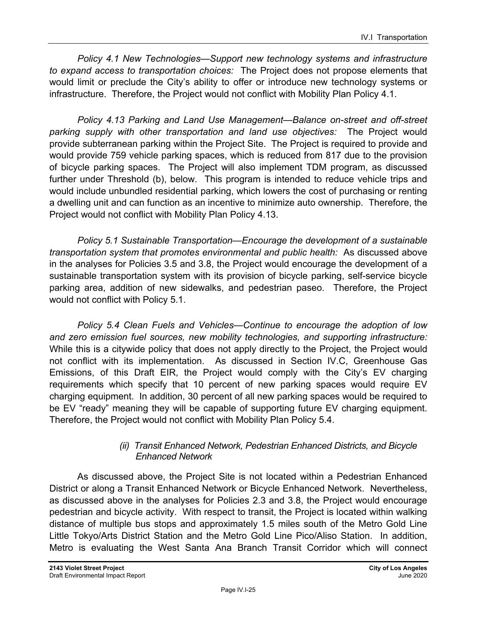*Policy 4.1 New Technologies—Support new technology systems and infrastructure to expand access to transportation choices:* The Project does not propose elements that would limit or preclude the City's ability to offer or introduce new technology systems or infrastructure. Therefore, the Project would not conflict with Mobility Plan Policy 4.1.

*Policy 4.13 Parking and Land Use Management—Balance on-street and off-street parking supply with other transportation and land use objectives:* The Project would provide subterranean parking within the Project Site. The Project is required to provide and would provide 759 vehicle parking spaces, which is reduced from 817 due to the provision of bicycle parking spaces. The Project will also implement TDM program, as discussed further under Threshold (b), below. This program is intended to reduce vehicle trips and would include unbundled residential parking, which lowers the cost of purchasing or renting a dwelling unit and can function as an incentive to minimize auto ownership. Therefore, the Project would not conflict with Mobility Plan Policy 4.13.

*Policy 5.1 Sustainable Transportation—Encourage the development of a sustainable transportation system that promotes environmental and public health:* As discussed above in the analyses for Policies 3.5 and 3.8, the Project would encourage the development of a sustainable transportation system with its provision of bicycle parking, self-service bicycle parking area, addition of new sidewalks, and pedestrian paseo. Therefore, the Project would not conflict with Policy 5.1.

*Policy 5.4 Clean Fuels and Vehicles—Continue to encourage the adoption of low and zero emission fuel sources, new mobility technologies, and supporting infrastructure:*  While this is a citywide policy that does not apply directly to the Project, the Project would not conflict with its implementation. As discussed in Section IV.C, Greenhouse Gas Emissions, of this Draft EIR, the Project would comply with the City's EV charging requirements which specify that 10 percent of new parking spaces would require EV charging equipment. In addition, 30 percent of all new parking spaces would be required to be EV "ready" meaning they will be capable of supporting future EV charging equipment. Therefore, the Project would not conflict with Mobility Plan Policy 5.4.

#### *(ii) Transit Enhanced Network, Pedestrian Enhanced Districts, and Bicycle Enhanced Network*

As discussed above, the Project Site is not located within a Pedestrian Enhanced District or along a Transit Enhanced Network or Bicycle Enhanced Network. Nevertheless, as discussed above in the analyses for Policies 2.3 and 3.8, the Project would encourage pedestrian and bicycle activity. With respect to transit, the Project is located within walking distance of multiple bus stops and approximately 1.5 miles south of the Metro Gold Line Little Tokyo/Arts District Station and the Metro Gold Line Pico/Aliso Station. In addition, Metro is evaluating the West Santa Ana Branch Transit Corridor which will connect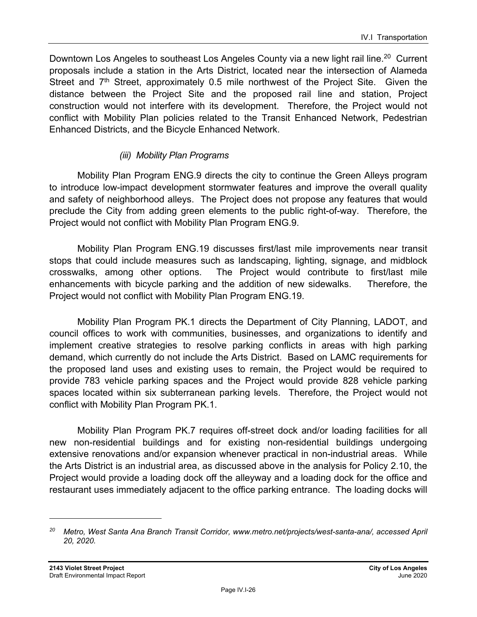Downtown Los Angeles to southeast Los Angeles County via a new light rail line.<sup>20</sup> Current proposals include a station in the Arts District, located near the intersection of Alameda Street and  $7<sup>th</sup>$  Street, approximately 0.5 mile northwest of the Project Site. Given the distance between the Project Site and the proposed rail line and station, Project construction would not interfere with its development. Therefore, the Project would not conflict with Mobility Plan policies related to the Transit Enhanced Network, Pedestrian Enhanced Districts, and the Bicycle Enhanced Network.

#### *(iii) Mobility Plan Programs*

Mobility Plan Program ENG.9 directs the city to continue the Green Alleys program to introduce low-impact development stormwater features and improve the overall quality and safety of neighborhood alleys. The Project does not propose any features that would preclude the City from adding green elements to the public right-of-way. Therefore, the Project would not conflict with Mobility Plan Program ENG.9.

Mobility Plan Program ENG.19 discusses first/last mile improvements near transit stops that could include measures such as landscaping, lighting, signage, and midblock crosswalks, among other options. The Project would contribute to first/last mile enhancements with bicycle parking and the addition of new sidewalks. Therefore, the Project would not conflict with Mobility Plan Program ENG.19.

Mobility Plan Program PK.1 directs the Department of City Planning, LADOT, and council offices to work with communities, businesses, and organizations to identify and implement creative strategies to resolve parking conflicts in areas with high parking demand, which currently do not include the Arts District. Based on LAMC requirements for the proposed land uses and existing uses to remain, the Project would be required to provide 783 vehicle parking spaces and the Project would provide 828 vehicle parking spaces located within six subterranean parking levels. Therefore, the Project would not conflict with Mobility Plan Program PK.1.

Mobility Plan Program PK.7 requires off-street dock and/or loading facilities for all new non-residential buildings and for existing non-residential buildings undergoing extensive renovations and/or expansion whenever practical in non-industrial areas. While the Arts District is an industrial area, as discussed above in the analysis for Policy 2.10, the Project would provide a loading dock off the alleyway and a loading dock for the office and restaurant uses immediately adjacent to the office parking entrance. The loading docks will

*<sup>20</sup> Metro, West Santa Ana Branch Transit Corridor, www.metro.net/projects/west-santa-ana/, accessed April 20, 2020.*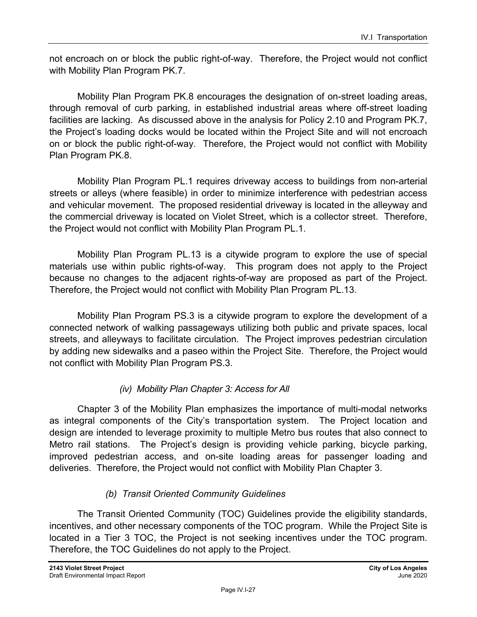not encroach on or block the public right-of-way. Therefore, the Project would not conflict with Mobility Plan Program PK.7.

Mobility Plan Program PK.8 encourages the designation of on-street loading areas, through removal of curb parking, in established industrial areas where off-street loading facilities are lacking. As discussed above in the analysis for Policy 2.10 and Program PK.7, the Project's loading docks would be located within the Project Site and will not encroach on or block the public right-of-way. Therefore, the Project would not conflict with Mobility Plan Program PK.8.

Mobility Plan Program PL.1 requires driveway access to buildings from non-arterial streets or alleys (where feasible) in order to minimize interference with pedestrian access and vehicular movement. The proposed residential driveway is located in the alleyway and the commercial driveway is located on Violet Street, which is a collector street. Therefore, the Project would not conflict with Mobility Plan Program PL.1.

Mobility Plan Program PL.13 is a citywide program to explore the use of special materials use within public rights-of-way. This program does not apply to the Project because no changes to the adjacent rights-of-way are proposed as part of the Project. Therefore, the Project would not conflict with Mobility Plan Program PL.13.

Mobility Plan Program PS.3 is a citywide program to explore the development of a connected network of walking passageways utilizing both public and private spaces, local streets, and alleyways to facilitate circulation. The Project improves pedestrian circulation by adding new sidewalks and a paseo within the Project Site. Therefore, the Project would not conflict with Mobility Plan Program PS.3.

### *(iv) Mobility Plan Chapter 3: Access for All*

Chapter 3 of the Mobility Plan emphasizes the importance of multi-modal networks as integral components of the City's transportation system. The Project location and design are intended to leverage proximity to multiple Metro bus routes that also connect to Metro rail stations. The Project's design is providing vehicle parking, bicycle parking, improved pedestrian access, and on-site loading areas for passenger loading and deliveries. Therefore, the Project would not conflict with Mobility Plan Chapter 3.

### *(b) Transit Oriented Community Guidelines*

The Transit Oriented Community (TOC) Guidelines provide the eligibility standards, incentives, and other necessary components of the TOC program. While the Project Site is located in a Tier 3 TOC, the Project is not seeking incentives under the TOC program. Therefore, the TOC Guidelines do not apply to the Project.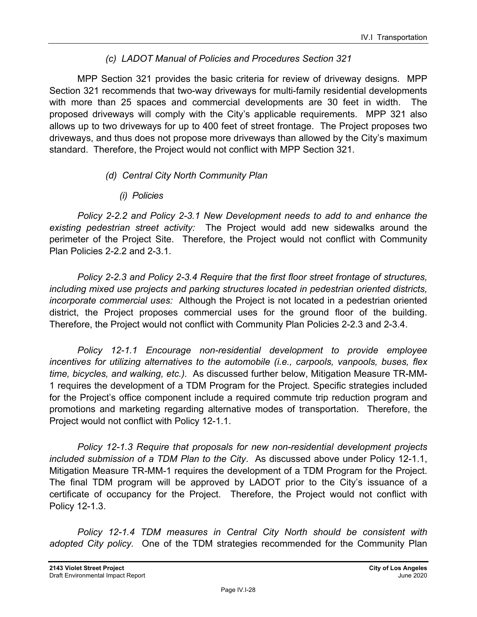### *(c) LADOT Manual of Policies and Procedures Section 321*

MPP Section 321 provides the basic criteria for review of driveway designs. MPP Section 321 recommends that two-way driveways for multi-family residential developments with more than 25 spaces and commercial developments are 30 feet in width. The proposed driveways will comply with the City's applicable requirements. MPP 321 also allows up to two driveways for up to 400 feet of street frontage. The Project proposes two driveways, and thus does not propose more driveways than allowed by the City's maximum standard. Therefore, the Project would not conflict with MPP Section 321.

### *(d) Central City North Community Plan*

*(i) Policies* 

*Policy 2-2.2 and Policy 2-3.1 New Development needs to add to and enhance the existing pedestrian street activity:* The Project would add new sidewalks around the perimeter of the Project Site. Therefore, the Project would not conflict with Community Plan Policies 2-2.2 and 2-3.1.

*Policy 2-2.3 and Policy 2-3.4 Require that the first floor street frontage of structures, including mixed use projects and parking structures located in pedestrian oriented districts, incorporate commercial uses:* Although the Project is not located in a pedestrian oriented district, the Project proposes commercial uses for the ground floor of the building. Therefore, the Project would not conflict with Community Plan Policies 2-2.3 and 2-3.4.

*Policy 12-1.1 Encourage non-residential development to provide employee incentives for utilizing alternatives to the automobile (i.e., carpools, vanpools, buses, flex time, bicycles, and walking, etc.).* As discussed further below, Mitigation Measure TR-MM-1 requires the development of a TDM Program for the Project. Specific strategies included for the Project's office component include a required commute trip reduction program and promotions and marketing regarding alternative modes of transportation. Therefore, the Project would not conflict with Policy 12-1.1.

*Policy 12-1.3 Require that proposals for new non-residential development projects included submission of a TDM Plan to the City*. As discussed above under Policy 12-1.1, Mitigation Measure TR-MM-1 requires the development of a TDM Program for the Project. The final TDM program will be approved by LADOT prior to the City's issuance of a certificate of occupancy for the Project. Therefore, the Project would not conflict with Policy 12-1.3.

*Policy 12-1.4 TDM measures in Central City North should be consistent with adopted City policy.* One of the TDM strategies recommended for the Community Plan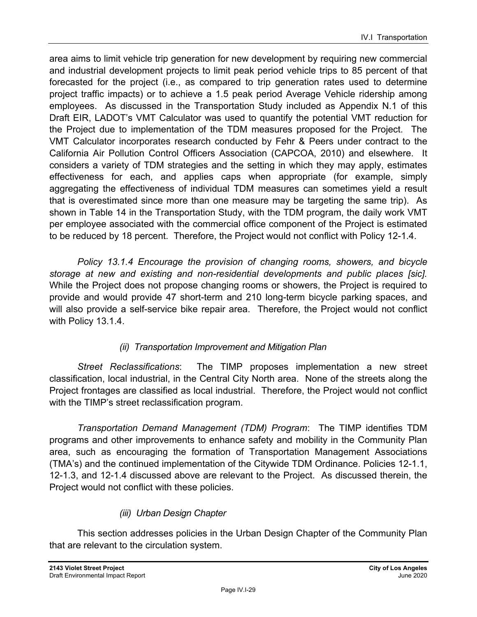area aims to limit vehicle trip generation for new development by requiring new commercial and industrial development projects to limit peak period vehicle trips to 85 percent of that forecasted for the project (i.e., as compared to trip generation rates used to determine project traffic impacts) or to achieve a 1.5 peak period Average Vehicle ridership among employees. As discussed in the Transportation Study included as Appendix N.1 of this Draft EIR, LADOT's VMT Calculator was used to quantify the potential VMT reduction for the Project due to implementation of the TDM measures proposed for the Project. The VMT Calculator incorporates research conducted by Fehr & Peers under contract to the California Air Pollution Control Officers Association (CAPCOA, 2010) and elsewhere. It considers a variety of TDM strategies and the setting in which they may apply, estimates effectiveness for each, and applies caps when appropriate (for example, simply aggregating the effectiveness of individual TDM measures can sometimes yield a result that is overestimated since more than one measure may be targeting the same trip). As shown in Table 14 in the Transportation Study, with the TDM program, the daily work VMT per employee associated with the commercial office component of the Project is estimated to be reduced by 18 percent. Therefore, the Project would not conflict with Policy 12-1.4.

*Policy 13.1.4 Encourage the provision of changing rooms, showers, and bicycle storage at new and existing and non-residential developments and public places [sic].*  While the Project does not propose changing rooms or showers, the Project is required to provide and would provide 47 short-term and 210 long-term bicycle parking spaces, and will also provide a self-service bike repair area. Therefore, the Project would not conflict with Policy 13.1.4.

### *(ii) Transportation Improvement and Mitigation Plan*

*Street Reclassifications*: The TIMP proposes implementation a new street classification, local industrial, in the Central City North area. None of the streets along the Project frontages are classified as local industrial. Therefore, the Project would not conflict with the TIMP's street reclassification program.

*Transportation Demand Management (TDM) Program*: The TIMP identifies TDM programs and other improvements to enhance safety and mobility in the Community Plan area, such as encouraging the formation of Transportation Management Associations (TMA's) and the continued implementation of the Citywide TDM Ordinance. Policies 12-1.1, 12-1.3, and 12-1.4 discussed above are relevant to the Project. As discussed therein, the Project would not conflict with these policies.

### *(iii) Urban Design Chapter*

This section addresses policies in the Urban Design Chapter of the Community Plan that are relevant to the circulation system.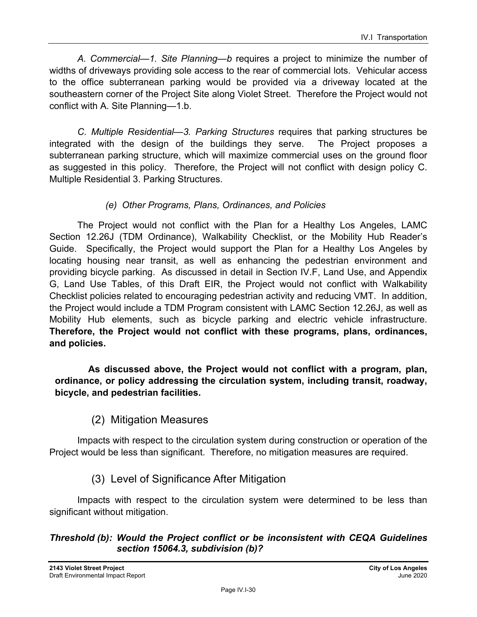*A. Commercial—1. Site Planning—b* requires a project to minimize the number of widths of driveways providing sole access to the rear of commercial lots. Vehicular access to the office subterranean parking would be provided via a driveway located at the southeastern corner of the Project Site along Violet Street. Therefore the Project would not conflict with A. Site Planning—1.b.

*C. Multiple Residential—3. Parking Structures* requires that parking structures be integrated with the design of the buildings they serve. The Project proposes a subterranean parking structure, which will maximize commercial uses on the ground floor as suggested in this policy. Therefore, the Project will not conflict with design policy C. Multiple Residential 3. Parking Structures.

#### *(e) Other Programs, Plans, Ordinances, and Policies*

The Project would not conflict with the Plan for a Healthy Los Angeles, LAMC Section 12.26J (TDM Ordinance), Walkability Checklist, or the Mobility Hub Reader's Guide. Specifically, the Project would support the Plan for a Healthy Los Angeles by locating housing near transit, as well as enhancing the pedestrian environment and providing bicycle parking. As discussed in detail in Section IV.F, Land Use, and Appendix G, Land Use Tables, of this Draft EIR, the Project would not conflict with Walkability Checklist policies related to encouraging pedestrian activity and reducing VMT. In addition, the Project would include a TDM Program consistent with LAMC Section 12.26J, as well as Mobility Hub elements, such as bicycle parking and electric vehicle infrastructure. **Therefore, the Project would not conflict with these programs, plans, ordinances, and policies.** 

 **As discussed above, the Project would not conflict with a program, plan, ordinance, or policy addressing the circulation system, including transit, roadway, bicycle, and pedestrian facilities.**

(2) Mitigation Measures

Impacts with respect to the circulation system during construction or operation of the Project would be less than significant. Therefore, no mitigation measures are required.

### (3) Level of Significance After Mitigation

Impacts with respect to the circulation system were determined to be less than significant without mitigation.

#### *Threshold (b): Would the Project conflict or be inconsistent with CEQA Guidelines section 15064.3, subdivision (b)?*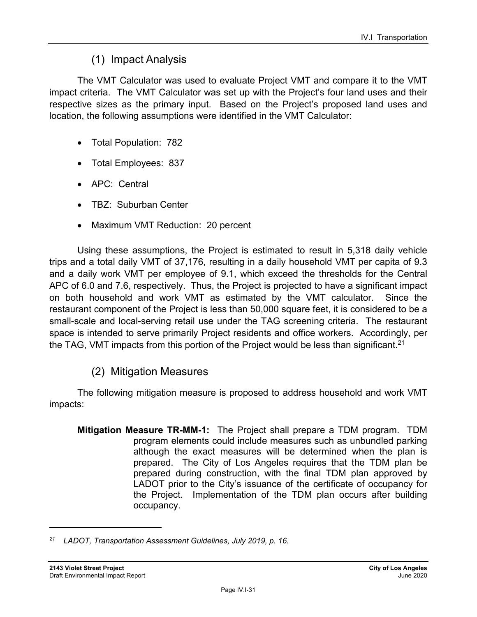## (1) Impact Analysis

The VMT Calculator was used to evaluate Project VMT and compare it to the VMT impact criteria. The VMT Calculator was set up with the Project's four land uses and their respective sizes as the primary input. Based on the Project's proposed land uses and location, the following assumptions were identified in the VMT Calculator:

- Total Population: 782
- Total Employees: 837
- APC: Central
- TBZ: Suburban Center
- Maximum VMT Reduction: 20 percent

Using these assumptions, the Project is estimated to result in 5,318 daily vehicle trips and a total daily VMT of 37,176, resulting in a daily household VMT per capita of 9.3 and a daily work VMT per employee of 9.1, which exceed the thresholds for the Central APC of 6.0 and 7.6, respectively. Thus, the Project is projected to have a significant impact on both household and work VMT as estimated by the VMT calculator. Since the restaurant component of the Project is less than 50,000 square feet, it is considered to be a small-scale and local-serving retail use under the TAG screening criteria. The restaurant space is intended to serve primarily Project residents and office workers. Accordingly, per the TAG, VMT impacts from this portion of the Project would be less than significant.<sup>21</sup>

## (2) Mitigation Measures

The following mitigation measure is proposed to address household and work VMT impacts:

**Mitigation Measure TR-MM-1:** The Project shall prepare a TDM program. TDM program elements could include measures such as unbundled parking although the exact measures will be determined when the plan is prepared. The City of Los Angeles requires that the TDM plan be prepared during construction, with the final TDM plan approved by LADOT prior to the City's issuance of the certificate of occupancy for the Project. Implementation of the TDM plan occurs after building occupancy.

*<sup>21</sup> LADOT, Transportation Assessment Guidelines, July 2019, p. 16.*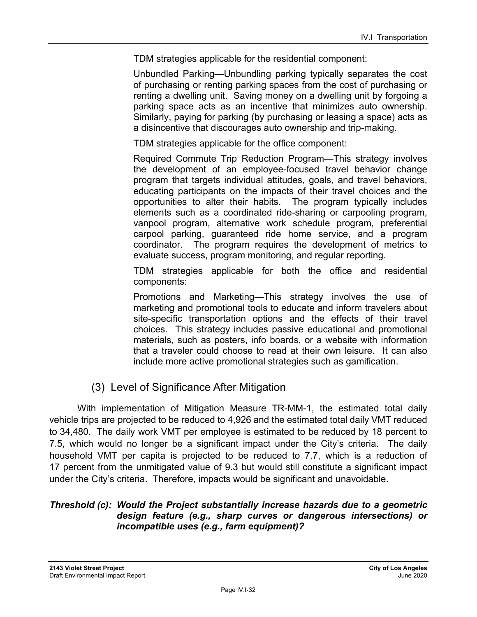TDM strategies applicable for the residential component:

Unbundled Parking—Unbundling parking typically separates the cost of purchasing or renting parking spaces from the cost of purchasing or renting a dwelling unit. Saving money on a dwelling unit by forgoing a parking space acts as an incentive that minimizes auto ownership. Similarly, paying for parking (by purchasing or leasing a space) acts as a disincentive that discourages auto ownership and trip-making.

TDM strategies applicable for the office component:

Required Commute Trip Reduction Program—This strategy involves the development of an employee-focused travel behavior change program that targets individual attitudes, goals, and travel behaviors, educating participants on the impacts of their travel choices and the opportunities to alter their habits. The program typically includes elements such as a coordinated ride-sharing or carpooling program, vanpool program, alternative work schedule program, preferential carpool parking, guaranteed ride home service, and a program coordinator. The program requires the development of metrics to evaluate success, program monitoring, and regular reporting.

TDM strategies applicable for both the office and residential components:

Promotions and Marketing—This strategy involves the use of marketing and promotional tools to educate and inform travelers about site-specific transportation options and the effects of their travel choices. This strategy includes passive educational and promotional materials, such as posters, info boards, or a website with information that a traveler could choose to read at their own leisure. It can also include more active promotional strategies such as gamification.

#### (3) Level of Significance After Mitigation

With implementation of Mitigation Measure TR-MM-1, the estimated total daily vehicle trips are projected to be reduced to 4,926 and the estimated total daily VMT reduced to 34,480. The daily work VMT per employee is estimated to be reduced by 18 percent to 7.5, which would no longer be a significant impact under the City's criteria. The daily household VMT per capita is projected to be reduced to 7.7, which is a reduction of 17 percent from the unmitigated value of 9.3 but would still constitute a significant impact under the City's criteria. Therefore, impacts would be significant and unavoidable.

#### *Threshold (c): Would the Project substantially increase hazards due to a geometric design feature (e.g., sharp curves or dangerous intersections) or incompatible uses (e.g., farm equipment)?*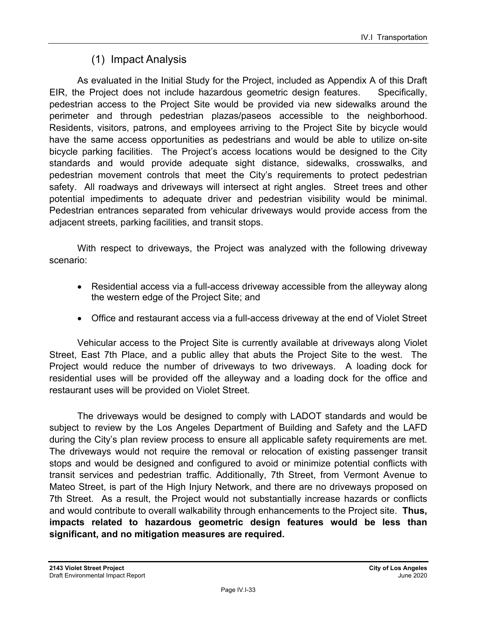## (1) Impact Analysis

As evaluated in the Initial Study for the Project, included as Appendix A of this Draft EIR, the Project does not include hazardous geometric design features. Specifically, pedestrian access to the Project Site would be provided via new sidewalks around the perimeter and through pedestrian plazas/paseos accessible to the neighborhood. Residents, visitors, patrons, and employees arriving to the Project Site by bicycle would have the same access opportunities as pedestrians and would be able to utilize on-site bicycle parking facilities. The Project's access locations would be designed to the City standards and would provide adequate sight distance, sidewalks, crosswalks, and pedestrian movement controls that meet the City's requirements to protect pedestrian safety. All roadways and driveways will intersect at right angles. Street trees and other potential impediments to adequate driver and pedestrian visibility would be minimal. Pedestrian entrances separated from vehicular driveways would provide access from the adjacent streets, parking facilities, and transit stops.

With respect to driveways, the Project was analyzed with the following driveway scenario:

- Residential access via a full-access driveway accessible from the alleyway along the western edge of the Project Site; and
- Office and restaurant access via a full-access driveway at the end of Violet Street

Vehicular access to the Project Site is currently available at driveways along Violet Street, East 7th Place, and a public alley that abuts the Project Site to the west. The Project would reduce the number of driveways to two driveways. A loading dock for residential uses will be provided off the alleyway and a loading dock for the office and restaurant uses will be provided on Violet Street.

The driveways would be designed to comply with LADOT standards and would be subject to review by the Los Angeles Department of Building and Safety and the LAFD during the City's plan review process to ensure all applicable safety requirements are met. The driveways would not require the removal or relocation of existing passenger transit stops and would be designed and configured to avoid or minimize potential conflicts with transit services and pedestrian traffic. Additionally, 7th Street, from Vermont Avenue to Mateo Street, is part of the High Injury Network, and there are no driveways proposed on 7th Street. As a result, the Project would not substantially increase hazards or conflicts and would contribute to overall walkability through enhancements to the Project site. **Thus, impacts related to hazardous geometric design features would be less than significant, and no mitigation measures are required.**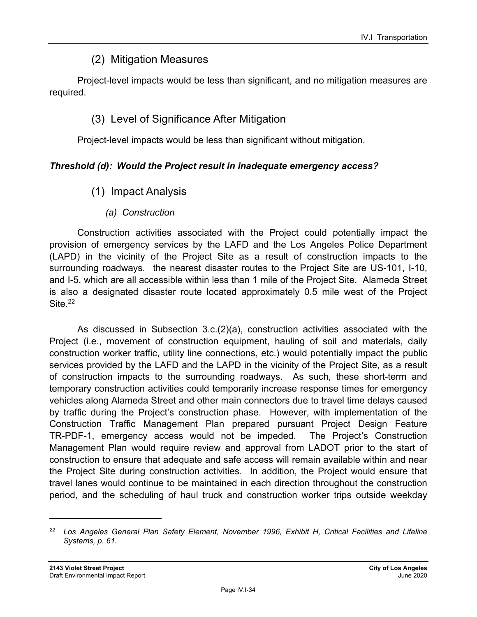## (2) Mitigation Measures

Project-level impacts would be less than significant, and no mitigation measures are required.

## (3) Level of Significance After Mitigation

Project-level impacts would be less than significant without mitigation.

### *Threshold (d): Would the Project result in inadequate emergency access?*

- (1) Impact Analysis
	- *(a) Construction*

Construction activities associated with the Project could potentially impact the provision of emergency services by the LAFD and the Los Angeles Police Department (LAPD) in the vicinity of the Project Site as a result of construction impacts to the surrounding roadways. the nearest disaster routes to the Project Site are US-101, I-10, and I-5, which are all accessible within less than 1 mile of the Project Site. Alameda Street is also a designated disaster route located approximately 0.5 mile west of the Project Site.<sup>22</sup>

As discussed in Subsection 3.c.(2)(a), construction activities associated with the Project (i.e., movement of construction equipment, hauling of soil and materials, daily construction worker traffic, utility line connections, etc.) would potentially impact the public services provided by the LAFD and the LAPD in the vicinity of the Project Site, as a result of construction impacts to the surrounding roadways. As such, these short-term and temporary construction activities could temporarily increase response times for emergency vehicles along Alameda Street and other main connectors due to travel time delays caused by traffic during the Project's construction phase. However, with implementation of the Construction Traffic Management Plan prepared pursuant Project Design Feature TR-PDF-1, emergency access would not be impeded. The Project's Construction Management Plan would require review and approval from LADOT prior to the start of construction to ensure that adequate and safe access will remain available within and near the Project Site during construction activities. In addition, the Project would ensure that travel lanes would continue to be maintained in each direction throughout the construction period, and the scheduling of haul truck and construction worker trips outside weekday

*<sup>22</sup> Los Angeles General Plan Safety Element, November 1996, Exhibit H, Critical Facilities and Lifeline Systems, p. 61.*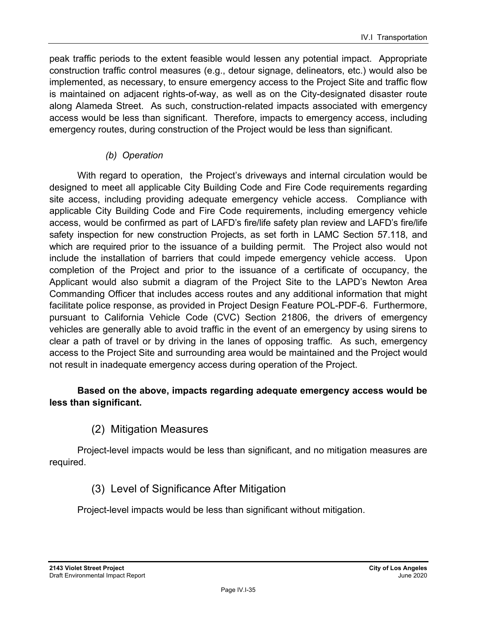peak traffic periods to the extent feasible would lessen any potential impact. Appropriate construction traffic control measures (e.g., detour signage, delineators, etc.) would also be implemented, as necessary, to ensure emergency access to the Project Site and traffic flow is maintained on adjacent rights-of-way, as well as on the City-designated disaster route along Alameda Street. As such, construction-related impacts associated with emergency access would be less than significant. Therefore, impacts to emergency access, including emergency routes, during construction of the Project would be less than significant.

#### *(b) Operation*

With regard to operation, the Project's driveways and internal circulation would be designed to meet all applicable City Building Code and Fire Code requirements regarding site access, including providing adequate emergency vehicle access. Compliance with applicable City Building Code and Fire Code requirements, including emergency vehicle access, would be confirmed as part of LAFD's fire/life safety plan review and LAFD's fire/life safety inspection for new construction Projects, as set forth in LAMC Section 57.118, and which are required prior to the issuance of a building permit. The Project also would not include the installation of barriers that could impede emergency vehicle access. Upon completion of the Project and prior to the issuance of a certificate of occupancy, the Applicant would also submit a diagram of the Project Site to the LAPD's Newton Area Commanding Officer that includes access routes and any additional information that might facilitate police response, as provided in Project Design Feature POL-PDF-6. Furthermore, pursuant to California Vehicle Code (CVC) Section 21806, the drivers of emergency vehicles are generally able to avoid traffic in the event of an emergency by using sirens to clear a path of travel or by driving in the lanes of opposing traffic. As such, emergency access to the Project Site and surrounding area would be maintained and the Project would not result in inadequate emergency access during operation of the Project.

#### **Based on the above, impacts regarding adequate emergency access would be less than significant.**

## (2) Mitigation Measures

Project-level impacts would be less than significant, and no mitigation measures are required.

### (3) Level of Significance After Mitigation

Project-level impacts would be less than significant without mitigation.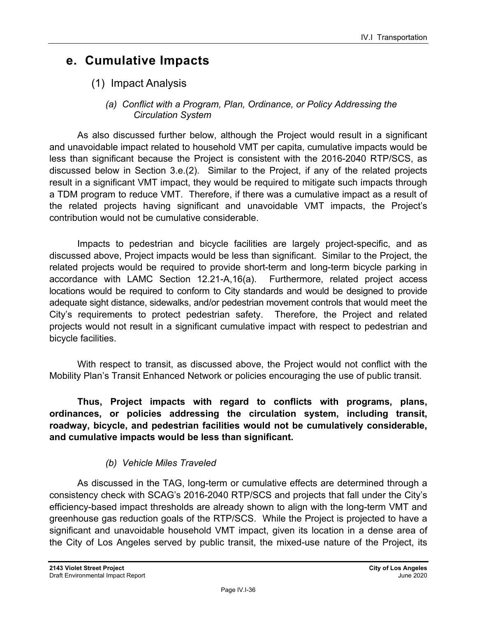## **e. Cumulative Impacts**

(1) Impact Analysis

#### *(a) Conflict with a Program, Plan, Ordinance, or Policy Addressing the Circulation System*

As also discussed further below, although the Project would result in a significant and unavoidable impact related to household VMT per capita, cumulative impacts would be less than significant because the Project is consistent with the 2016-2040 RTP/SCS, as discussed below in Section 3.e.(2). Similar to the Project, if any of the related projects result in a significant VMT impact, they would be required to mitigate such impacts through a TDM program to reduce VMT. Therefore, if there was a cumulative impact as a result of the related projects having significant and unavoidable VMT impacts, the Project's contribution would not be cumulative considerable.

Impacts to pedestrian and bicycle facilities are largely project-specific, and as discussed above, Project impacts would be less than significant. Similar to the Project, the related projects would be required to provide short-term and long-term bicycle parking in accordance with LAMC Section 12.21-A,16(a). Furthermore, related project access locations would be required to conform to City standards and would be designed to provide adequate sight distance, sidewalks, and/or pedestrian movement controls that would meet the City's requirements to protect pedestrian safety. Therefore, the Project and related projects would not result in a significant cumulative impact with respect to pedestrian and bicycle facilities.

With respect to transit, as discussed above, the Project would not conflict with the Mobility Plan's Transit Enhanced Network or policies encouraging the use of public transit.

**Thus, Project impacts with regard to conflicts with programs, plans, ordinances, or policies addressing the circulation system, including transit, roadway, bicycle, and pedestrian facilities would not be cumulatively considerable, and cumulative impacts would be less than significant.**

### *(b) Vehicle Miles Traveled*

As discussed in the TAG, long-term or cumulative effects are determined through a consistency check with SCAG's 2016-2040 RTP/SCS and projects that fall under the City's efficiency-based impact thresholds are already shown to align with the long-term VMT and greenhouse gas reduction goals of the RTP/SCS. While the Project is projected to have a significant and unavoidable household VMT impact, given its location in a dense area of the City of Los Angeles served by public transit, the mixed-use nature of the Project, its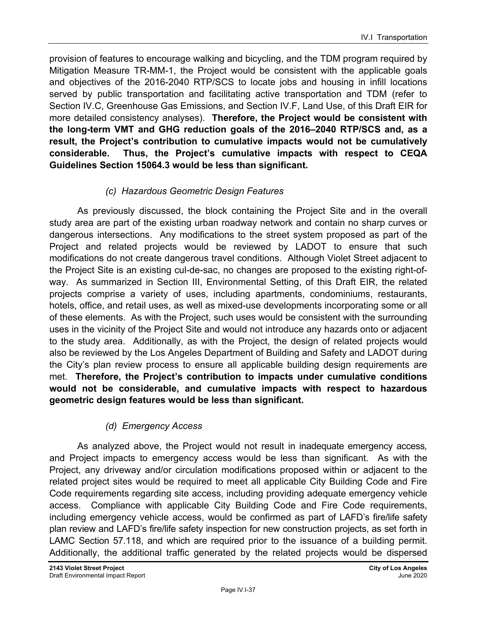provision of features to encourage walking and bicycling, and the TDM program required by Mitigation Measure TR-MM-1, the Project would be consistent with the applicable goals and objectives of the 2016-2040 RTP/SCS to locate jobs and housing in infill locations served by public transportation and facilitating active transportation and TDM (refer to Section IV.C, Greenhouse Gas Emissions, and Section IV.F, Land Use, of this Draft EIR for more detailed consistency analyses). **Therefore, the Project would be consistent with the long-term VMT and GHG reduction goals of the 2016–2040 RTP/SCS and, as a result, the Project's contribution to cumulative impacts would not be cumulatively considerable. Thus, the Project's cumulative impacts with respect to CEQA Guidelines Section 15064.3 would be less than significant.**

### *(c) Hazardous Geometric Design Features*

As previously discussed, the block containing the Project Site and in the overall study area are part of the existing urban roadway network and contain no sharp curves or dangerous intersections. Any modifications to the street system proposed as part of the Project and related projects would be reviewed by LADOT to ensure that such modifications do not create dangerous travel conditions. Although Violet Street adjacent to the Project Site is an existing cul-de-sac, no changes are proposed to the existing right-ofway. As summarized in Section III, Environmental Setting, of this Draft EIR, the related projects comprise a variety of uses, including apartments, condominiums, restaurants, hotels, office, and retail uses, as well as mixed-use developments incorporating some or all of these elements. As with the Project, such uses would be consistent with the surrounding uses in the vicinity of the Project Site and would not introduce any hazards onto or adjacent to the study area. Additionally, as with the Project, the design of related projects would also be reviewed by the Los Angeles Department of Building and Safety and LADOT during the City's plan review process to ensure all applicable building design requirements are met. **Therefore, the Project's contribution to impacts under cumulative conditions would not be considerable, and cumulative impacts with respect to hazardous geometric design features would be less than significant.** 

### *(d) Emergency Access*

As analyzed above, the Project would not result in inadequate emergency access*,*  and Project impacts to emergency access would be less than significant. As with the Project, any driveway and/or circulation modifications proposed within or adjacent to the related project sites would be required to meet all applicable City Building Code and Fire Code requirements regarding site access, including providing adequate emergency vehicle access. Compliance with applicable City Building Code and Fire Code requirements, including emergency vehicle access, would be confirmed as part of LAFD's fire/life safety plan review and LAFD's fire/life safety inspection for new construction projects, as set forth in LAMC Section 57.118, and which are required prior to the issuance of a building permit. Additionally, the additional traffic generated by the related projects would be dispersed